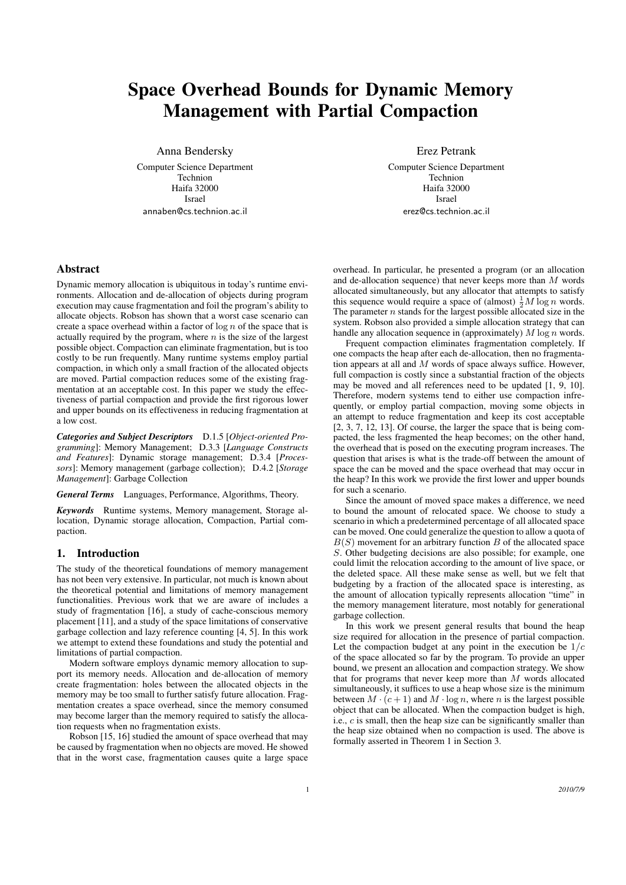# Space Overhead Bounds for Dynamic Memory Management with Partial Compaction

Anna Bendersky

Computer Science Department Technion Haifa 32000 Israel annaben@cs.technion.ac.il

Abstract

Dynamic memory allocation is ubiquitous in today's runtime environments. Allocation and de-allocation of objects during program execution may cause fragmentation and foil the program's ability to allocate objects. Robson has shown that a worst case scenario can create a space overhead within a factor of log *n* of the space that is actually required by the program, where *n* is the size of the largest possible object. Compaction can eliminate fragmentation, but is too costly to be run frequently. Many runtime systems employ partial compaction, in which only a small fraction of the allocated objects are moved. Partial compaction reduces some of the existing fragmentation at an acceptable cost. In this paper we study the effectiveness of partial compaction and provide the first rigorous lower and upper bounds on its effectiveness in reducing fragmentation at a low cost.

*Categories and Subject Descriptors* D.1.5 [*Object-oriented Programming*]: Memory Management; D.3.3 [*Language Constructs and Features*]: Dynamic storage management; D.3.4 [*Processors*]: Memory management (garbage collection); D.4.2 [*Storage Management*]: Garbage Collection

*General Terms* Languages, Performance, Algorithms, Theory.

*Keywords* Runtime systems, Memory management, Storage allocation, Dynamic storage allocation, Compaction, Partial compaction.

# 1. Introduction

The study of the theoretical foundations of memory management has not been very extensive. In particular, not much is known about the theoretical potential and limitations of memory management functionalities. Previous work that we are aware of includes a study of fragmentation [16], a study of cache-conscious memory placement [11], and a study of the space limitations of conservative garbage collection and lazy reference counting [4, 5]. In this work we attempt to extend these foundations and study the potential and limitations of partial compaction.

Modern software employs dynamic memory allocation to support its memory needs. Allocation and de-allocation of memory create fragmentation: holes between the allocated objects in the memory may be too small to further satisfy future allocation. Fragmentation creates a space overhead, since the memory consumed may become larger than the memory required to satisfy the allocation requests when no fragmentation exists.

Robson [15, 16] studied the amount of space overhead that may be caused by fragmentation when no objects are moved. He showed that in the worst case, fragmentation causes quite a large space Erez Petrank

Computer Science Department Technion Haifa 32000 Israel erez@cs.technion.ac.il

overhead. In particular, he presented a program (or an allocation and de-allocation sequence) that never keeps more than *M* words allocated simultaneously, but any allocator that attempts to satisfy this sequence would require a space of (almost)  $\frac{1}{2}M \log n$  words. The parameter *n* stands for the largest possible allocated size in the system. Robson also provided a simple allocation strategy that can handle any allocation sequence in (approximately) *M* log *n* words.

Frequent compaction eliminates fragmentation completely. If one compacts the heap after each de-allocation, then no fragmentation appears at all and *M* words of space always suffice. However, full compaction is costly since a substantial fraction of the objects may be moved and all references need to be updated [1, 9, 10]. Therefore, modern systems tend to either use compaction infrequently, or employ partial compaction, moving some objects in an attempt to reduce fragmentation and keep its cost acceptable [2, 3, 7, 12, 13]. Of course, the larger the space that is being compacted, the less fragmented the heap becomes; on the other hand, the overhead that is posed on the executing program increases. The question that arises is what is the trade-off between the amount of space the can be moved and the space overhead that may occur in the heap? In this work we provide the first lower and upper bounds for such a scenario.

Since the amount of moved space makes a difference, we need to bound the amount of relocated space. We choose to study a scenario in which a predetermined percentage of all allocated space can be moved. One could generalize the question to allow a quota of *B*(*S*) movement for an arbitrary function *B* of the allocated space *S*. Other budgeting decisions are also possible; for example, one could limit the relocation according to the amount of live space, or the deleted space. All these make sense as well, but we felt that budgeting by a fraction of the allocated space is interesting, as the amount of allocation typically represents allocation "time" in the memory management literature, most notably for generational garbage collection.

In this work we present general results that bound the heap size required for allocation in the presence of partial compaction. Let the compaction budget at any point in the execution be 1*/c* of the space allocated so far by the program. To provide an upper bound, we present an allocation and compaction strategy. We show that for programs that never keep more than *M* words allocated simultaneously, it suffices to use a heap whose size is the minimum between  $M \cdot (c+1)$  and  $M \cdot \log n$ , where *n* is the largest possible object that can be allocated. When the compaction budget is high, i.e., *c* is small, then the heap size can be significantly smaller than the heap size obtained when no compaction is used. The above is formally asserted in Theorem 1 in Section 3.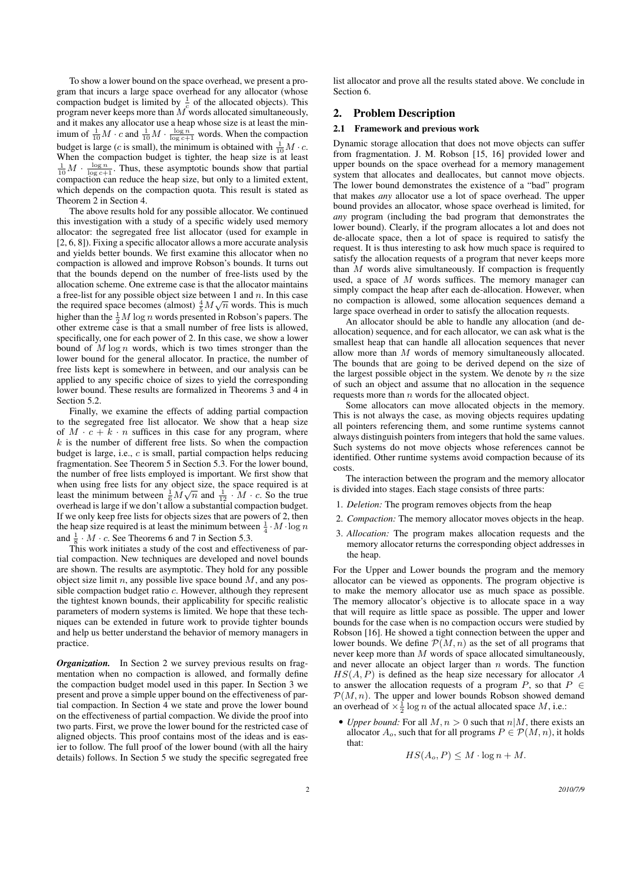To show a lower bound on the space overhead, we present a program that incurs a large space overhead for any allocator (whose compaction budget is limited by  $\frac{1}{c}$  of the allocated objects). This program never keeps more than *M* words allocated simultaneously, and it makes any allocator use a heap whose size is at least the minimum of  $\frac{1}{10}M \cdot c$  and  $\frac{1}{10}M \cdot \frac{\log n}{\log c+1}$  words. When the compaction budget is large (*c* is small), the minimum is obtained with  $\frac{1}{10}M \cdot c$ . When the compaction budget is tighter, the heap size is at least  $\frac{1}{10}M \cdot \frac{\log n}{\log c+1}$ . Thus, these asymptotic bounds show that partial compaction can reduce the heap size, but only to a limited extent, which depends on the compaction quota. This result is stated as Theorem 2 in Section 4.

The above results hold for any possible allocator. We continued this investigation with a study of a specific widely used memory allocator: the segregated free list allocator (used for example in [2, 6, 8]). Fixing a specific allocator allows a more accurate analysis and yields better bounds. We first examine this allocator when no compaction is allowed and improve Robson's bounds. It turns out that the bounds depend on the number of free-lists used by the allocation scheme. One extreme case is that the allocator maintains a free-list for any possible object size between 1 and *n*. In this case a free-fist for any possible object size between 1 and *n*. In this case<br>the required space becomes (almost)  $\frac{4}{5}M\sqrt{n}$  words. This is much higher than the  $\frac{1}{2}M\log n$  words presented in Robson's papers. The other extreme case is that a small number of free lists is allowed, specifically, one for each power of 2. In this case, we show a lower bound of *M* log *n* words, which is two times stronger than the lower bound for the general allocator. In practice, the number of free lists kept is somewhere in between, and our analysis can be applied to any specific choice of sizes to yield the corresponding lower bound. These results are formalized in Theorems 3 and 4 in Section 5.2.

Finally, we examine the effects of adding partial compaction to the segregated free list allocator. We show that a heap size of  $M \cdot c + k \cdot n$  suffices in this case for any program, where *k* is the number of different free lists. So when the compaction budget is large, i.e., *c* is small, partial compaction helps reducing fragmentation. See Theorem 5 in Section 5.3. For the lower bound, the number of free lists employed is important. We first show that when using free lists for any object size, the space required is at when using tree lists for any object size, the space required is at least the minimum between  $\frac{1}{6}M\sqrt{n}$  and  $\frac{1}{12} \cdot M \cdot c$ . So the true overhead is large if we don't allow a substantial compaction budget. If we only keep free lists for objects sizes that are powers of 2, then the heap size required is at least the minimum between  $\frac{1}{4} \cdot M \cdot \log n$ and  $\frac{1}{8} \cdot M \cdot c$ . See Theorems 6 and 7 in Section 5.3.

This work initiates a study of the cost and effectiveness of partial compaction. New techniques are developed and novel bounds are shown. The results are asymptotic. They hold for any possible object size limit *n*, any possible live space bound *M*, and any possible compaction budget ratio *c*. However, although they represent the tightest known bounds, their applicability for specific realistic parameters of modern systems is limited. We hope that these techniques can be extended in future work to provide tighter bounds and help us better understand the behavior of memory managers in practice.

*Organization.* In Section 2 we survey previous results on fragmentation when no compaction is allowed, and formally define the compaction budget model used in this paper. In Section 3 we present and prove a simple upper bound on the effectiveness of partial compaction. In Section 4 we state and prove the lower bound on the effectiveness of partial compaction. We divide the proof into two parts. First, we prove the lower bound for the restricted case of aligned objects. This proof contains most of the ideas and is easier to follow. The full proof of the lower bound (with all the hairy details) follows. In Section 5 we study the specific segregated free list allocator and prove all the results stated above. We conclude in Section 6.

## 2. Problem Description

## 2.1 Framework and previous work

Dynamic storage allocation that does not move objects can suffer from fragmentation. J. M. Robson [15, 16] provided lower and upper bounds on the space overhead for a memory management system that allocates and deallocates, but cannot move objects. The lower bound demonstrates the existence of a "bad" program that makes *any* allocator use a lot of space overhead. The upper bound provides an allocator, whose space overhead is limited, for *any* program (including the bad program that demonstrates the lower bound). Clearly, if the program allocates a lot and does not de-allocate space, then a lot of space is required to satisfy the request. It is thus interesting to ask how much space is required to satisfy the allocation requests of a program that never keeps more than *M* words alive simultaneously. If compaction is frequently used, a space of *M* words suffices. The memory manager can simply compact the heap after each de-allocation. However, when no compaction is allowed, some allocation sequences demand a large space overhead in order to satisfy the allocation requests.

An allocator should be able to handle any allocation (and deallocation) sequence, and for each allocator, we can ask what is the smallest heap that can handle all allocation sequences that never allow more than *M* words of memory simultaneously allocated. The bounds that are going to be derived depend on the size of the largest possible object in the system. We denote by *n* the size of such an object and assume that no allocation in the sequence requests more than *n* words for the allocated object.

Some allocators can move allocated objects in the memory. This is not always the case, as moving objects requires updating all pointers referencing them, and some runtime systems cannot always distinguish pointers from integers that hold the same values. Such systems do not move objects whose references cannot be identified. Other runtime systems avoid compaction because of its costs.

The interaction between the program and the memory allocator is divided into stages. Each stage consists of three parts:

- 1. *Deletion:* The program removes objects from the heap
- 2. *Compaction:* The memory allocator moves objects in the heap.
- 3. *Allocation:* The program makes allocation requests and the memory allocator returns the corresponding object addresses in the heap.

For the Upper and Lower bounds the program and the memory allocator can be viewed as opponents. The program objective is to make the memory allocator use as much space as possible. The memory allocator's objective is to allocate space in a way that will require as little space as possible. The upper and lower bounds for the case when is no compaction occurs were studied by Robson [16]. He showed a tight connection between the upper and lower bounds. We define  $P(M, n)$  as the set of all programs that never keep more than *M* words of space allocated simultaneously, and never allocate an object larger than *n* words. The function *HS*(*A, P*) is defined as the heap size necessary for allocator *A* to answer the allocation requests of a program  $P$ , so that  $P \in$ *P*(*M, n*). The upper and lower bounds Robson showed demand an overhead of  $\times \frac{1}{2} \log n$  of the actual allocated space *M*, i.e.:

*• Upper bound:* For all *M, n >* 0 such that *n|M*, there exists an allocator  $A_o$ , such that for all programs  $P \in \mathcal{P}(M, n)$ , it holds that:

 $HS(A_o, P) \leq M \cdot \log n + M$ .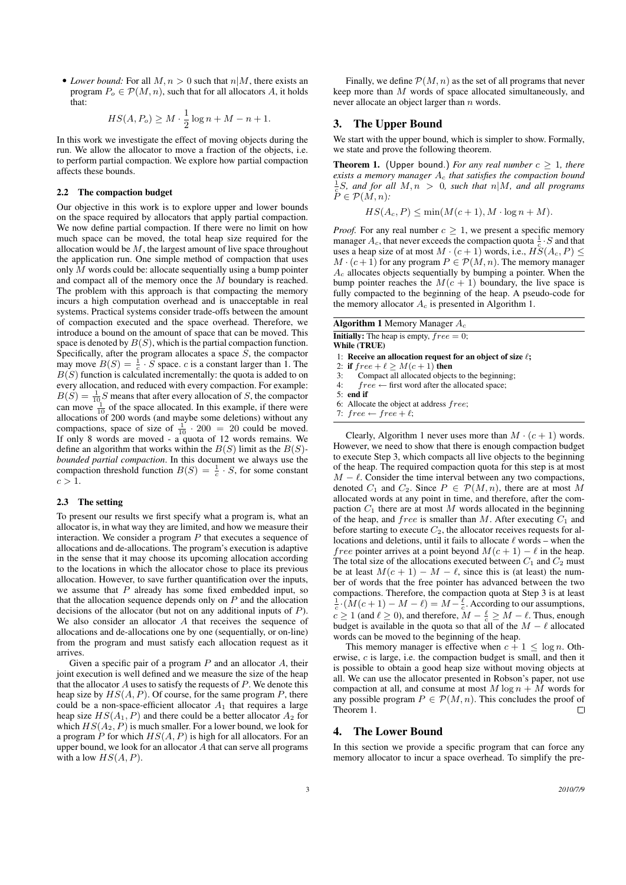• *Lower bound:* For all  $M, n > 0$  such that  $n|M$ , there exists an program  $P_o \in \mathcal{P}(M, n)$ , such that for all allocators *A*, it holds that:

$$
HS(A, P_o) \ge M \cdot \frac{1}{2} \log n + M - n + 1.
$$

In this work we investigate the effect of moving objects during the run. We allow the allocator to move a fraction of the objects, i.e. to perform partial compaction. We explore how partial compaction affects these bounds.

## 2.2 The compaction budget

Our objective in this work is to explore upper and lower bounds on the space required by allocators that apply partial compaction. We now define partial compaction. If there were no limit on how much space can be moved, the total heap size required for the allocation would be *M*, the largest amount of live space throughout the application run. One simple method of compaction that uses only *M* words could be: allocate sequentially using a bump pointer and compact all of the memory once the *M* boundary is reached. The problem with this approach is that compacting the memory incurs a high computation overhead and is unacceptable in real systems. Practical systems consider trade-offs between the amount of compaction executed and the space overhead. Therefore, we introduce a bound on the amount of space that can be moved. This space is denoted by  $B(S)$ , which is the partial compaction function. Specifically, after the program allocates a space *S*, the compactor may move  $B(S) = \frac{1}{c} \cdot S$  space. *c* is a constant larger than 1. The *B*(*S*) function is calculated incrementally: the quota is added to on every allocation, and reduced with every compaction. For example:  $B(S) = \frac{1}{10}S$  means that after every allocation of *S*, the compactor can move  $\frac{1}{10}$  of the space allocated. In this example, if there were allocations of 200 words (and maybe some deletions) without any compactions, space of size of  $\frac{1}{10} \cdot 200 = 20$  could be moved. If only 8 words are moved - a quota of 12 words remains. We define an algorithm that works within the  $B(S)$  limit as the  $B(S)$ *bounded partial compaction*. In this document we always use the compaction threshold function  $B(S) = \frac{1}{c} \cdot S$ , for some constant  $c > 1$ .

# 2.3 The setting

To present our results we first specify what a program is, what an allocator is, in what way they are limited, and how we measure their interaction. We consider a program *P* that executes a sequence of allocations and de-allocations. The program's execution is adaptive in the sense that it may choose its upcoming allocation according to the locations in which the allocator chose to place its previous allocation. However, to save further quantification over the inputs, we assume that *P* already has some fixed embedded input, so that the allocation sequence depends only on *P* and the allocation decisions of the allocator (but not on any additional inputs of *P*). We also consider an allocator *A* that receives the sequence of allocations and de-allocations one by one (sequentially, or on-line) from the program and must satisfy each allocation request as it arrives.

Given a specific pair of a program *P* and an allocator *A*, their joint execution is well defined and we measure the size of the heap that the allocator *A* uses to satisfy the requests of *P*. We denote this heap size by *HS*(*A, P*). Of course, for the same program *P*, there could be a non-space-efficient allocator *A*<sup>1</sup> that requires a large heap size  $HS(A_1, P)$  and there could be a better allocator  $A_2$  for which  $HS(A_2, P)$  is much smaller. For a lower bound, we look for a program *P* for which *HS*(*A, P*) is high for all allocators. For an upper bound, we look for an allocator *A* that can serve all programs with a low  $HS(A, P)$ .

Finally, we define  $P(M, n)$  as the set of all programs that never keep more than *M* words of space allocated simultaneously, and never allocate an object larger than *n* words.

# 3. The Upper Bound

We start with the upper bound, which is simpler to show. Formally, we state and prove the following theorem.

**Theorem 1.** (Upper bound.) *For any real number*  $c \geq 1$ *, there exists a memory manager A<sup>c</sup> that satisfies the compaction bound*  $\frac{1}{c}$ *S, and for all*  $M, n > 0$ *, such that*  $n|M$ *, and all programs*  $\tilde{P} \in \mathcal{P}(M,n)$ *:* 

$$
HS(A_c, P) \le \min(M(c+1), M \cdot \log n + M).
$$

*Proof.* For any real number  $c \geq 1$ , we present a specific memory manager  $A_c$ , that never exceeds the compaction quota  $\frac{1}{c} \cdot S$  and that uses a heap size of at most  $M \cdot (c+1)$  words, i.e.,  $H\ddot{S}(A_c, P) \leq$  $M \cdot (c+1)$  for any program  $P \in \mathcal{P}(M, n)$ . The memory manager *A<sup>c</sup>* allocates objects sequentially by bumping a pointer. When the bump pointer reaches the  $M(c + 1)$  boundary, the live space is fully compacted to the beginning of the heap. A pseudo-code for the memory allocator *A<sup>c</sup>* is presented in Algorithm 1.

| <b>Algorithm 1</b> Memory Manager $A_c$                                  |  |
|--------------------------------------------------------------------------|--|
| <b>Initially:</b> The heap is empty, $free = 0$ ;<br><b>While (TRUE)</b> |  |
| 1: Receive an allocation request for an object of size $\ell$ ;          |  |
| 2: if $free + \ell > M(c+1)$ then                                        |  |
| 3: Compact all allocated objects to the beginning;                       |  |
| 4: $free \leftarrow$ first word after the allocated space;               |  |
| $5:$ end if                                                              |  |
| 6: Allocate the object at address <i>free</i> ;                          |  |
| 7: $free \leftarrow free + \ell$ ;                                       |  |

Clearly, Algorithm 1 never uses more than  $M \cdot (c+1)$  words. However, we need to show that there is enough compaction budget to execute Step 3, which compacts all live objects to the beginning of the heap. The required compaction quota for this step is at most *M* −  $\ell$ . Consider the time interval between any two compactions, denoted  $C_1$  and  $C_2$ . Since  $P \in \mathcal{P}(M,n)$ , there are at most M allocated words at any point in time, and therefore, after the compaction  $C_1$  there are at most  $M$  words allocated in the beginning of the heap, and *free* is smaller than *M*. After executing *C*<sup>1</sup> and before starting to execute  $C_2$ , the allocator receives requests for allocations and deletions, until it fails to allocate *ℓ* words – when the *free* pointer arrives at a point beyond  $M(c + 1) - \ell$  in the heap. The total size of the allocations executed between  $C_1$  and  $C_2$  must be at least  $M(c + 1) - M - \ell$ , since this is (at least) the number of words that the free pointer has advanced between the two compactions. Therefore, the compaction quota at Step 3 is at least  $\frac{1}{c} \cdot (\tilde{M}(c+1) - M - \ell) = M - \frac{\ell}{c}$ . According to our assumptions, *c* ≥ 1 (and  $\ell$  ≥ 0), and therefore,  $M - \frac{\ell}{c}$  ≥  $M - \ell$ . Thus, enough budget is available in the quota so that all of the  $M - \ell$  allocated words can be moved to the beginning of the heap.

This memory manager is effective when  $c + 1 \leq \log n$ . Otherwise, *c* is large, i.e. the compaction budget is small, and then it is possible to obtain a good heap size without moving objects at all. We can use the allocator presented in Robson's paper, not use compaction at all, and consume at most  $M \log n + M$  words for any possible program  $P \in \mathcal{P}(M, n)$ . This concludes the proof of Theorem 1.  $\Box$ 

## 4. The Lower Bound

In this section we provide a specific program that can force any memory allocator to incur a space overhead. To simplify the pre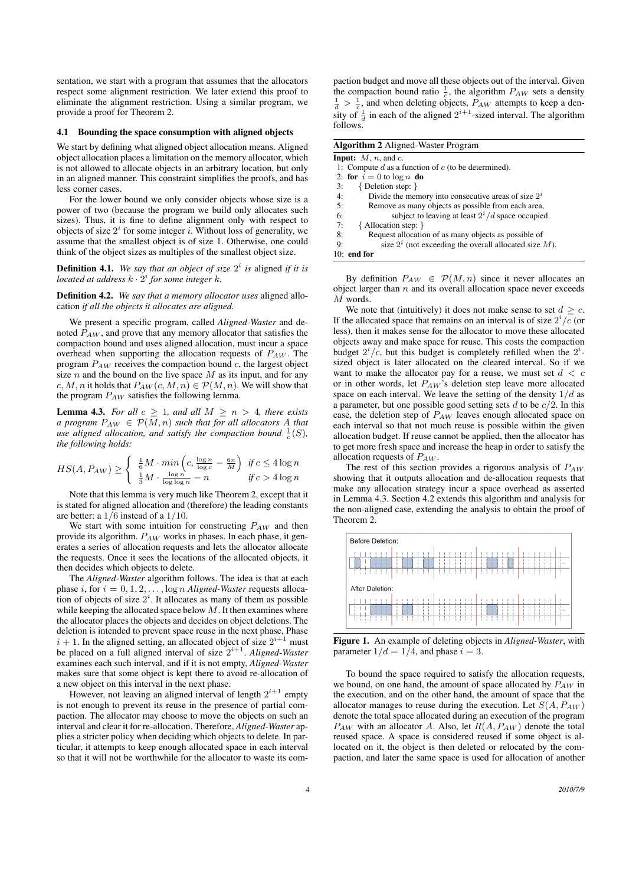sentation, we start with a program that assumes that the allocators respect some alignment restriction. We later extend this proof to eliminate the alignment restriction. Using a similar program, we provide a proof for Theorem 2.

## 4.1 Bounding the space consumption with aligned objects

We start by defining what aligned object allocation means. Aligned object allocation places a limitation on the memory allocator, which is not allowed to allocate objects in an arbitrary location, but only in an aligned manner. This constraint simplifies the proofs, and has less corner cases.

For the lower bound we only consider objects whose size is a power of two (because the program we build only allocates such sizes). Thus, it is fine to define alignment only with respect to objects of size  $2^i$  for some integer *i*. Without loss of generality, we assume that the smallest object is of size 1. Otherwise, one could think of the object sizes as multiples of the smallest object size.

Definition 4.1. *We say that an object of size* 2 *i is* aligned *if it is located at address*  $k \cdot 2^{i}$  *for some integer k.* 

Definition 4.2. *We say that a memory allocator uses* aligned allocation *if all the objects it allocates are aligned.*

We present a specific program, called *Aligned-Waster* and denoted *PAW* , and prove that any memory allocator that satisfies the compaction bound and uses aligned allocation, must incur a space overhead when supporting the allocation requests of *PAW* . The program *PAW* receives the compaction bound *c*, the largest object size *n* and the bound on the live space *M* as its input, and for any  $c, M, n$  it holds that  $P_{AW}(c, M, n) \in \mathcal{P}(M, n)$ . We will show that the program *PAW* satisfies the following lemma.

**Lemma 4.3.** For all  $c \geq 1$ , and all  $M \geq n > 4$ , there exists *a program*  $P_{AW} \in \mathcal{P}(M, n)$  *such that for all allocators A that use aligned allocation, and satisfy the compaction bound*  $\frac{1}{c}(S)$ *, the following holds:*

$$
HS(A, P_{AW}) \ge \begin{cases} \frac{1}{6}M \cdot min\left(c, \frac{\log n}{\log c} - \frac{6n}{M}\right) & \text{if } c \le 4 \log n\\ \frac{1}{3}M \cdot \frac{\log n}{\log \log n} - n & \text{if } c > 4 \log n \end{cases}
$$

Note that this lemma is very much like Theorem 2, except that it is stated for aligned allocation and (therefore) the leading constants are better: a 1*/*6 instead of a 1*/*10.

We start with some intuition for constructing *PAW* and then provide its algorithm. *PAW* works in phases. In each phase, it generates a series of allocation requests and lets the allocator allocate the requests. Once it sees the locations of the allocated objects, it then decides which objects to delete.

The *Aligned-Waster* algorithm follows. The idea is that at each phase *i*, for  $i = 0, 1, 2, \ldots$ ,  $\log n$  *Aligned-Waster* requests allocation of objects of size  $2^i$ . It allocates as many of them as possible while keeping the allocated space below *M*. It then examines where the allocator places the objects and decides on object deletions. The deletion is intended to prevent space reuse in the next phase, Phase  $i + 1$ . In the aligned setting, an allocated object of size  $2^{i+1}$  must be placed on a full aligned interval of size  $2^{i+1}$ . *Aligned-Waster* examines each such interval, and if it is not empty, *Aligned-Waster* makes sure that some object is kept there to avoid re-allocation of a new object on this interval in the next phase.

However, not leaving an aligned interval of length  $2^{i+1}$  empty is not enough to prevent its reuse in the presence of partial compaction. The allocator may choose to move the objects on such an interval and clear it for re-allocation. Therefore, *Aligned-Waster* applies a stricter policy when deciding which objects to delete. In particular, it attempts to keep enough allocated space in each interval so that it will not be worthwhile for the allocator to waste its compaction budget and move all these objects out of the interval. Given the compaction bound ratio  $\frac{1}{c}$ , the algorithm *P<sub>AW</sub>* sets a density  $\frac{1}{d}$  >  $\frac{1}{c}$ , and when deleting objects,  $P_{AW}$  attempts to keep a density of  $\frac{1}{d}$  in each of the aligned  $2^{i+1}$ -sized interval. The algorithm follows.

| <b>Algorithm 2</b> Aligned-Waster Program                      |  |  |
|----------------------------------------------------------------|--|--|
| <b>Input:</b> $M$ , $n$ , and $c$ .                            |  |  |
| 1: Compute d as a function of $c$ (to be determined).          |  |  |
| 2: for $i=0$ to $\log n$ do                                    |  |  |
| {Deletion step: }<br>3:                                        |  |  |
| Divide the memory into consecutive areas of size $2i$<br>4:    |  |  |
| 5:<br>Remove as many objects as possible from each area,       |  |  |
| subject to leaving at least $2^{i}/d$ space occupied.<br>6:    |  |  |
| 7:<br>{ Allocation step: }                                     |  |  |
| 8:<br>Request allocation of as many objects as possible of     |  |  |
| size $2^i$ (not exceeding the overall allocated size M).<br>9: |  |  |
| $10:$ end for                                                  |  |  |

By definition  $P_{AW} \in \mathcal{P}(M,n)$  since it never allocates an object larger than  $n$  and its overall allocation space never exceeds *M* words.

We note that (intuitively) it does not make sense to set  $d > c$ . If the allocated space that remains on an interval is of size  $2^{i}/c$  (or less), then it makes sense for the allocator to move these allocated objects away and make space for reuse. This costs the compaction budget  $2^{i}/c$ , but this budget is completely refilled when the  $2^{i}$ sized object is later allocated on the cleared interval. So if we want to make the allocator pay for a reuse, we must set *d < c* or in other words, let *PAW* 's deletion step leave more allocated space on each interval. We leave the setting of the density 1*/d* as a parameter, but one possible good setting sets *d* to be *c/*2. In this case, the deletion step of *PAW* leaves enough allocated space on each interval so that not much reuse is possible within the given allocation budget. If reuse cannot be applied, then the allocator has to get more fresh space and increase the heap in order to satisfy the allocation requests of *PAW* .

The rest of this section provides a rigorous analysis of *PAW* showing that it outputs allocation and de-allocation requests that make any allocation strategy incur a space overhead as asserted in Lemma 4.3. Section 4.2 extends this algorithm and analysis for the non-aligned case, extending the analysis to obtain the proof of Theorem 2.



Figure 1. An example of deleting objects in *Aligned-Waster*, with parameter  $1/d = 1/4$ , and phase  $i = 3$ .

To bound the space required to satisfy the allocation requests, we bound, on one hand, the amount of space allocated by *PAW* in the execution, and on the other hand, the amount of space that the allocator manages to reuse during the execution. Let  $S(A, P_{AW})$ denote the total space allocated during an execution of the program  $P_{AW}$  with an allocator *A*. Also, let  $R(A, P_{AW})$  denote the total reused space. A space is considered reused if some object is allocated on it, the object is then deleted or relocated by the compaction, and later the same space is used for allocation of another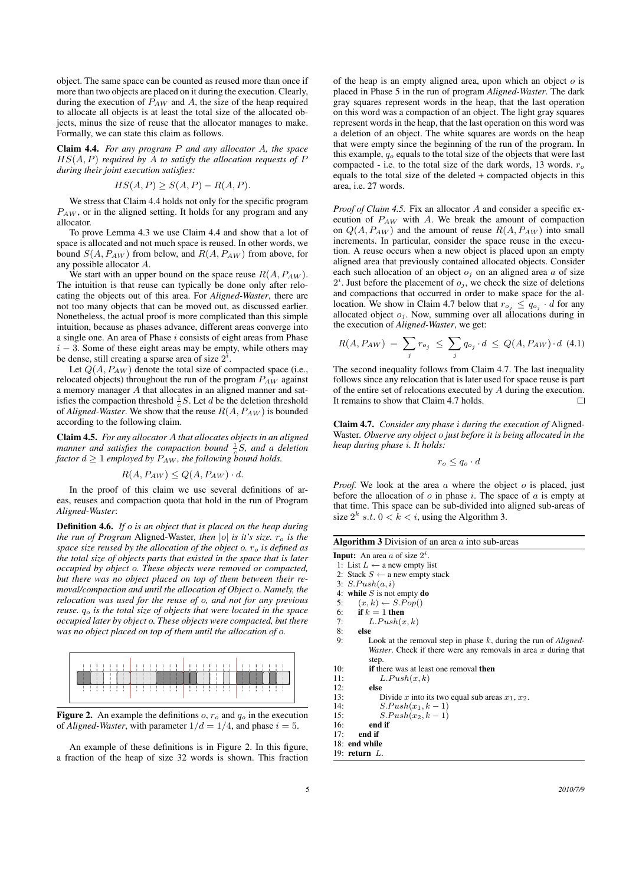object. The same space can be counted as reused more than once if more than two objects are placed on it during the execution. Clearly, during the execution of *PAW* and *A*, the size of the heap required to allocate all objects is at least the total size of the allocated objects, minus the size of reuse that the allocator manages to make. Formally, we can state this claim as follows.

Claim 4.4. *For any program P and any allocator A, the space HS*(*A, P*) *required by A to satisfy the allocation requests of P during their joint execution satisfies:*

$$
HS(A, P) \geq S(A, P) - R(A, P).
$$

We stress that Claim 4.4 holds not only for the specific program *PAW* , or in the aligned setting. It holds for any program and any allocator.

To prove Lemma 4.3 we use Claim 4.4 and show that a lot of space is allocated and not much space is reused. In other words, we bound  $S(A, P_{AW})$  from below, and  $R(A, P_{AW})$  from above, for any possible allocator *A*.

We start with an upper bound on the space reuse  $R(A, P_{AW})$ . The intuition is that reuse can typically be done only after relocating the objects out of this area. For *Aligned-Waster*, there are not too many objects that can be moved out, as discussed earlier. Nonetheless, the actual proof is more complicated than this simple intuition, because as phases advance, different areas converge into a single one. An area of Phase *i* consists of eight areas from Phase *i* − 3. Some of these eight areas may be empty, while others may be dense, still creating a sparse area of size  $2<sup>i</sup>$ .

Let *Q*(*A, PAW* ) denote the total size of compacted space (i.e., relocated objects) throughout the run of the program *PAW* against a memory manager *A* that allocates in an aligned manner and satisfies the compaction threshold  $\frac{1}{c}S$ . Let *d* be the deletion threshold of *Aligned-Waster*. We show that the reuse  $R(A, P_{AW})$  is bounded according to the following claim.

Claim 4.5. *For any allocator A that allocates objects in an aligned manner and satisfies the compaction bound*  $\frac{1}{c}S$ *, and a deletion factor*  $d \geq 1$  *employed by*  $P_{AW}$ *, the following bound holds.* 

$$
R(A, P_{AW}) \le Q(A, P_{AW}) \cdot d.
$$

In the proof of this claim we use several definitions of areas, reuses and compaction quota that hold in the run of Program *Aligned-Waster*:

Definition 4.6. *If o is an object that is placed on the heap during the run of Program* Aligned-Waster*, then |o| is it's size. r<sup>o</sup> is the space size reused by the allocation of the object o. r<sup>o</sup> is defined as the total size of objects parts that existed in the space that is later occupied by object o. These objects were removed or compacted, but there was no object placed on top of them between their removal/compaction and until the allocation of Object o. Namely, the relocation was used for the reuse of o, and not for any previous reuse. q<sup>o</sup> is the total size of objects that were located in the space occupied later by object o. These objects were compacted, but there was no object placed on top of them until the allocation of o.*



**Figure 2.** An example the definitions  $o, r_o$  and  $q_o$  in the execution of *Aligned-Waster*, with parameter  $1/d = 1/4$ , and phase  $i = 5$ .

An example of these definitions is in Figure 2. In this figure, a fraction of the heap of size 32 words is shown. This fraction

of the heap is an empty aligned area, upon which an object *o* is placed in Phase 5 in the run of program *Aligned-Waster*. The dark gray squares represent words in the heap, that the last operation on this word was a compaction of an object. The light gray squares represent words in the heap, that the last operation on this word was a deletion of an object. The white squares are words on the heap that were empty since the beginning of the run of the program. In this example, *q<sup>o</sup>* equals to the total size of the objects that were last compacted - i.e. to the total size of the dark words, 13 words. *r<sup>o</sup>* equals to the total size of the deleted + compacted objects in this area, i.e. 27 words.

*Proof of Claim 4.5.* Fix an allocator *A* and consider a specific execution of *PAW* with *A*. We break the amount of compaction on  $Q(A, P_{AW})$  and the amount of reuse  $R(A, P_{AW})$  into small increments. In particular, consider the space reuse in the execution. A reuse occurs when a new object is placed upon an empty aligned area that previously contained allocated objects. Consider each such allocation of an object  $o_j$  on an aligned area  $a$  of size  $2<sup>i</sup>$ . Just before the placement of  $o_j$ , we check the size of deletions and compactions that occurred in order to make space for the allocation. We show in Claim 4.7 below that  $r_{o_j} \le q_{o_j} \cdot d$  for any allocated object  $o_j$ . Now, summing over all allocations during in the execution of *Aligned-Waster*, we get:

$$
R(A, P_{AW}) = \sum_{j} r_{o_j} \leq \sum_{j} q_{o_j} \cdot d \leq Q(A, P_{AW}) \cdot d \tag{4.1}
$$

The second inequality follows from Claim 4.7. The last inequality follows since any relocation that is later used for space reuse is part of the entire set of relocations executed by *A* during the execution. It remains to show that Claim 4.7 holds.  $\Box$ 

Claim 4.7. *Consider any phase i during the execution of* Aligned-Waster*. Observe any object o just before it is being allocated in the heap during phase i. It holds:*

$$
r_o \le q_o \cdot d
$$

*Proof.* We look at the area *a* where the object *o* is placed, just before the allocation of *o* in phase *i*. The space of *a* is empty at that time. This space can be sub-divided into aligned sub-areas of size  $2^k$  *s.t.*  $0 < k < i$ , using the Algorithm 3.

| <b>Algorithm 3</b> Division of an area $a$ into sub-areas                        |  |  |
|----------------------------------------------------------------------------------|--|--|
| <b>Input:</b> An area $a$ of size $2^i$ .                                        |  |  |
| 1: List $L \leftarrow$ a new empty list                                          |  |  |
| 2: Stack $S \leftarrow$ a new empty stack                                        |  |  |
| 3: S.Push(a, i)                                                                  |  |  |
| 4: while $S$ is not empty do                                                     |  |  |
| 5: $(x,k) \leftarrow S.pop()$                                                    |  |  |
| 6: if $k = 1$ then                                                               |  |  |
| 7:<br>L.Push(x, k)                                                               |  |  |
| 8:<br>else                                                                       |  |  |
| Look at the removal step in phase $k$ , during the run of <i>Aligned</i> -<br>9: |  |  |
| <i>Waster.</i> Check if there were any removals in area $x$ during that          |  |  |

step. 10: **if** there was at least one removal **then** 

- 11: *L.P ush*(*x, k*)
- 
- 12: **else**<br>13: **I** 13: Divide *x* into its two equal sub areas  $x_1, x_2$ .<br>14:  $S.Push(x_1, k-1)$
- 
- 14: *S.Push*(*x*<sub>1</sub>*, k* − 1)<br>15: *S.Push*(*x*<sub>2</sub>*, k* − 1) 15:  $S.Push(x_2, k-1)$ <br>16: **end if**
- end if
- 17: end if
- 18: end while
- 19: return *L*.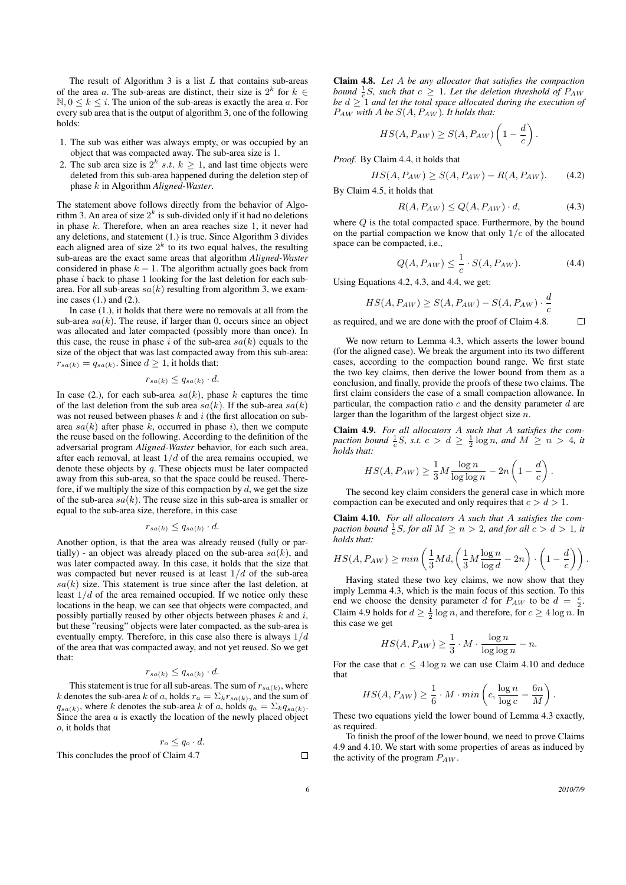The result of Algorithm 3 is a list *L* that contains sub-areas of the area *a*. The sub-areas are distinct, their size is  $2^k$  for  $k \in$  $N, 0 \leq k \leq i$ . The union of the sub-areas is exactly the area *a*. For every sub area that is the output of algorithm 3, one of the following holds:

- 1. The sub was either was always empty, or was occupied by an object that was compacted away. The sub-area size is 1.
- 2. The sub area size is  $2^k$  *s.t.*  $k \ge 1$ , and last time objects were deleted from this sub-area happened during the deletion step of phase *k* in Algorithm *Aligned-Waster*.

The statement above follows directly from the behavior of Algorithm 3. An area of size  $2^k$  is sub-divided only if it had no deletions in phase *k*. Therefore, when an area reaches size 1, it never had any deletions, and statement (1.) is true. Since Algorithm 3 divides each aligned area of size  $2<sup>k</sup>$  to its two equal halves, the resulting sub-areas are the exact same areas that algorithm *Aligned-Waster* considered in phase  $k - 1$ . The algorithm actually goes back from phase *i* back to phase 1 looking for the last deletion for each subarea. For all sub-areas  $sa(k)$  resulting from algorithm 3, we examine cases  $(1.)$  and  $(2.)$ .

In case (1.), it holds that there were no removals at all from the sub-area  $sa(k)$ . The reuse, if larger than 0, occurs since an object was allocated and later compacted (possibly more than once). In this case, the reuse in phase *i* of the sub-area  $sa(k)$  equals to the size of the object that was last compacted away from this sub-area:  $r_{sa(k)} = q_{sa(k)}$ . Since  $d \geq 1$ , it holds that:

$$
r_{sa(k)} \le q_{sa(k)} \cdot d.
$$

In case (2.), for each sub-area  $sa(k)$ , phase  $k$  captures the time of the last deletion from the sub area  $sa(k)$ . If the sub-area  $sa(k)$ was not reused between phases *k* and *i* (the first allocation on subarea  $sa(k)$  after phase k, occurred in phase i), then we compute the reuse based on the following. According to the definition of the adversarial program *Aligned-Waster* behavior, for each such area, after each removal, at least 1*/d* of the area remains occupied, we denote these objects by *q*. These objects must be later compacted away from this sub-area, so that the space could be reused. Therefore, if we multiply the size of this compaction by *d*, we get the size of the sub-area *sa*(*k*). The reuse size in this sub-area is smaller or equal to the sub-area size, therefore, in this case

$$
r_{sa(k)} \le q_{sa(k)} \cdot d.
$$

Another option, is that the area was already reused (fully or partially) - an object was already placed on the sub-area  $sa(k)$ , and was later compacted away. In this case, it holds that the size that was compacted but never reused is at least 1*/d* of the sub-area  $sa(k)$  size. This statement is true since after the last deletion, at least  $1/d$  of the area remained occupied. If we notice only these locations in the heap, we can see that objects were compacted, and possibly partially reused by other objects between phases *k* and *i*, but these "reusing" objects were later compacted, as the sub-area is eventually empty. Therefore, in this case also there is always 1*/d* of the area that was compacted away, and not yet reused. So we get that:

$$
r_{sa(k)} \le q_{sa(k)} \cdot d.
$$

This statement is true for all sub-areas. The sum of  $r_{sa(k)}$ , where *k* denotes the sub-area *k* of *a*, holds  $r_a = \sum_k r_{sa(k)}$ , and the sum of  $q_{sa(k)}$ , where *k* denotes the sub-area *k* of *a*, holds  $q_a = \sum_k q_{sa(k)}$ . Since the area *a* is exactly the location of the newly placed object *o*, it holds that

$$
r_o \le q_o \cdot d.
$$

This concludes the proof of Claim 4.7

Claim 4.8. *Let A be any allocator that satisfies the compaction bound*  $\frac{1}{c}S$ *, such that*  $c \geq 1$ *. Let the deletion threshold of P<sub>AW</sub> bound*  $\binom{c}{c}$ , such that  $c \geq 1$ . Let the detection intestion of 1 Aw be  $d \geq 1$  and let the total space allocated during the execution of  $P_{AW}$  *with*  $A$  *be*  $S(A, P_{AW})$ *. It holds that:* 

$$
HS(A, P_{AW}) \geq S(A, P_{AW}) \left(1 - \frac{d}{c}\right).
$$

*Proof.* By Claim 4.4, it holds that

$$
HS(A, P_{AW}) \ge S(A, P_{AW}) - R(A, P_{AW}). \tag{4.2}
$$

By Claim 4.5, it holds that

$$
R(A, P_{AW}) \le Q(A, P_{AW}) \cdot d,\tag{4.3}
$$

where *Q* is the total compacted space. Furthermore, by the bound on the partial compaction we know that only 1*/c* of the allocated space can be compacted, i.e.,

$$
Q(A, P_{AW}) \leq \frac{1}{c} \cdot S(A, P_{AW}). \tag{4.4}
$$

 $\Box$ 

Using Equations 4.2, 4.3, and 4.4, we get:

$$
HS(A, P_{AW}) \geq S(A, P_{AW}) - S(A, P_{AW}) \cdot \frac{d}{c}
$$

as required, and we are done with the proof of Claim 4.8.

We now return to Lemma 4.3, which asserts the lower bound (for the aligned case). We break the argument into its two different cases, according to the compaction bound range. We first state the two key claims, then derive the lower bound from them as a conclusion, and finally, provide the proofs of these two claims. The first claim considers the case of a small compaction allowance. In particular, the compaction ratio *c* and the density parameter *d* are larger than the logarithm of the largest object size *n*.

Claim 4.9. *For all allocators A such that A satisfies the compaction bound*  $\frac{1}{c}S$ *, s.t.*  $c > d \geq \frac{1}{2}\log n$ *, and*  $M \geq n > 4$ *, it holds that:*

$$
HS(A, P_{AW}) \ge \frac{1}{3}M \frac{\log n}{\log \log n} - 2n\left(1 - \frac{d}{c}\right).
$$

The second key claim considers the general case in which more compaction can be executed and only requires that  $c > d > 1$ .

Claim 4.10. *For all allocators A such that A satisfies the compaction bound*  $\frac{1}{c}S$ *, for all*  $M \ge n > 2$ *, and for all*  $c > d > 1$ *, it holds that:*

$$
HS(A, P_{AW}) \geq min\left(\frac{1}{3}Md, \left(\frac{1}{3}M\frac{\log n}{\log d} - 2n\right) \cdot \left(1 - \frac{d}{c}\right)\right).
$$

Having stated these two key claims, we now show that they imply Lemma 4.3, which is the main focus of this section. To this end we choose the density parameter *d* for  $P_{AW}$  to be  $d = \frac{c}{2}$ . Claim 4.9 holds for  $d \geq \frac{1}{2} \log n$ , and therefore, for  $c \geq 4 \log n$ . In this case we get

$$
HS(A, P_{AW}) \ge \frac{1}{3} \cdot M \cdot \frac{\log n}{\log \log n} - n.
$$

For the case that  $c \leq 4 \log n$  we can use Claim 4.10 and deduce that

$$
HS(A, P_{AW}) \ge \frac{1}{6} \cdot M \cdot min\left(c, \frac{\log n}{\log c} - \frac{6n}{M}\right).
$$

These two equations yield the lower bound of Lemma 4.3 exactly, as required.

To finish the proof of the lower bound, we need to prove Claims 4.9 and 4.10. We start with some properties of areas as induced by the activity of the program *PAW* .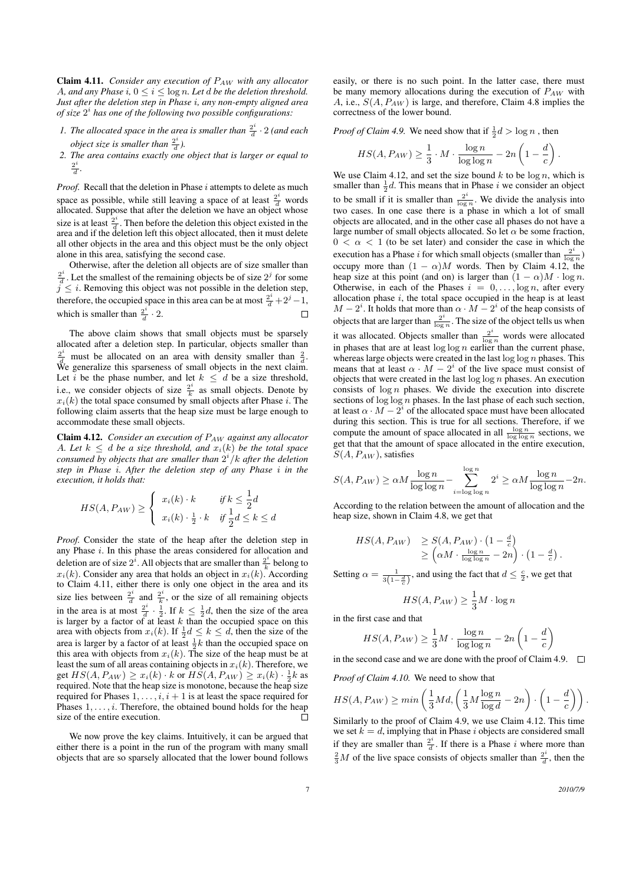Claim 4.11. *Consider any execution of PAW with any allocator A, and any Phase*  $i, 0 \leq i \leq \log n$ *. Let d be the deletion threshold. Just after the deletion step in Phase i, any non-empty aligned area of size* 2 *i has one of the following two possible configurations:*

- 1. The allocated space in the area is smaller than  $\frac{2^i}{d}$ *d ·* 2 *(and each object size is smaller than*  $\frac{2^i}{d}$  $\frac{2^c}{d}$ ).
- *2. The area contains exactly one object that is larger or equal to* 2 *i*  $\frac{d^2}{dt}$ .

*Proof.* Recall that the deletion in Phase *i* attempts to delete as much space as possible, while still leaving a space of at least  $\frac{2^i}{d}$  words allocated. Suppose that after the deletion we have an object whose size is at least  $\frac{2^i}{d}$  $\frac{d^2}{dt}$ . Then before the deletion this object existed in the area and if the deletion left this object allocated, then it must delete all other objects in the area and this object must be the only object alone in this area, satisfying the second case.

Otherwise, after the deletion all objects are of size smaller than 2 *i*  $\frac{2^i}{d}$ . Let the smallest of the remaining objects be of size  $2^j$  for some *j ≤ i*. Removing this object was not possible in the deletion step, therefore, the occupied space in this area can be at most  $\frac{2^i}{d} + 2^j - 1$ , which is smaller than  $\frac{2^i}{d}$  $\Box$  $\frac{2^c}{d} \cdot 2$ .

The above claim shows that small objects must be sparsely allocated after a deletion step. In particular, objects smaller than  $\frac{2^i}{d}$  must be allocated on an area with density smaller than  $\frac{2}{d}$ .  $\frac{d}{dx}$  mast be anotated on an area with density similar than  $\frac{d}{dx}$ . Let  $\tilde{i}$  be the phase number, and let  $k \leq d$  be a size threshold, i.e., we consider objects of size  $\frac{2^i}{k}$  $\frac{2^{b}}{k}$  as small objects. Denote by  $x_i(k)$  the total space consumed by small objects after Phase *i*. The following claim asserts that the heap size must be large enough to accommodate these small objects.

Claim 4.12. *Consider an execution of PAW against any allocator A. Let*  $k \leq d$  *be a size threshold, and*  $x_i(k)$  *be the total space consumed by objects that are smaller than* 2 *i /k after the deletion step in Phase i. After the deletion step of any Phase i in the execution, it holds that:*

$$
HS(A, P_{AW}) \geq \begin{cases} x_i(k) \cdot k & \text{if } k \leq \frac{1}{2}d \\ x_i(k) \cdot \frac{1}{2} \cdot k & \text{if } \frac{1}{2}d \leq k \leq d \end{cases}
$$

*Proof.* Consider the state of the heap after the deletion step in any Phase *i*. In this phase the areas considered for allocation and deletion are of size  $2^{i}$ . All objects that are smaller than  $\frac{2^{i}}{k}$  $\frac{2^k}{k}$  belong to  $x_i(k)$ . Consider any area that holds an object in  $x_i(k)$ . According to Claim 4.11, either there is only one object in the area and its size lies between  $\frac{2^i}{d}$  $\frac{2^i}{d}$  and  $\frac{2^i}{k}$  $\frac{2^{k}}{k}$ , or the size of all remaining objects in the area is at most  $\frac{2^i}{d}$  $\frac{2^i}{d} \cdot \frac{1}{2}$ . If  $k \leq \frac{1}{2}d$ , then the size of the area is larger by a factor of at least *k* than the occupied space on this area with objects from  $x_i(k)$ . If  $\frac{1}{2}d \leq k \leq d$ , then the size of the area is larger by a factor of at least  $\frac{1}{2}k$  than the occupied space on this area with objects from  $x_i(k)$ . The size of the heap must be at least the sum of all areas containing objects in  $x_i(k)$ . Therefore, we get  $HS(A, P_{AW}) \ge x_i(k) \cdot k$  or  $HS(A, P_{AW}) \ge x_i(k) \cdot \frac{1}{2}k$  as required. Note that the heap size is monotone, because the heap size required for Phases  $1, \ldots, i, i + 1$  is at least the space required for Phases 1*, . . . , i*. Therefore, the obtained bound holds for the heap size of the entire execution.

We now prove the key claims. Intuitively, it can be argued that either there is a point in the run of the program with many small objects that are so sparsely allocated that the lower bound follows

easily, or there is no such point. In the latter case, there must be many memory allocations during the execution of *PAW* with *A*, i.e., *S*(*A, PAW* ) is large, and therefore, Claim 4.8 implies the correctness of the lower bound.

*Proof of Claim 4.9.* We need show that if  $\frac{1}{2}d > \log n$ , then

$$
HS(A, P_{AW}) \ge \frac{1}{3} \cdot M \cdot \frac{\log n}{\log \log n} - 2n \left(1 - \frac{d}{c}\right)
$$

*.*

We use Claim 4.12, and set the size bound *k* to be log *n*, which is smaller than  $\frac{1}{2}d$ . This means that in Phase *i* we consider an object to be small if it is smaller than  $\frac{2^{i}}{\log n}$  $\frac{2^{b}}{\log n}$ . We divide the analysis into two cases. In one case there is a phase in which a lot of small objects are allocated, and in the other case all phases do not have a large number of small objects allocated. So let  $\alpha$  be some fraction,  $0 < \alpha < 1$  (to be set later) and consider the case in which the execution has a Phase *i* for which small objects (smaller than  $\frac{2^i}{\log n}$  $\frac{2^r}{\log n}$ occupy more than  $(1 - \alpha)M$  words. Then by Claim 4.12, the heap size at this point (and on) is larger than  $(1 - \alpha)M \cdot \log n$ . Otherwise, in each of the Phases  $i = 0, \ldots, \log n$ , after every allocation phase *i*, the total space occupied in the heap is at least *M* −  $2<sup>i</sup>$ . It holds that more than  $\alpha \cdot M - 2<sup>i</sup>$  of the heap consists of objects that are larger than  $\frac{2^i}{\log n}$  $\frac{2^{b}}{\log n}$ . The size of the object tells us when it was allocated. Objects smaller than  $\frac{2^i}{\log n}$  words were allocated in phases that are at least  $\log \log n$  earlier than the current phase, whereas large objects were created in the last log log *n* phases. This means that at least  $\alpha \cdot M - 2^i$  of the live space must consist of objects that were created in the last log log *n* phases. An execution consists of  $log n$  phases. We divide the execution into discrete sections of log log *n* phases. In the last phase of each such section, at least  $\alpha \cdot M - 2^{i}$  of the allocated space must have been allocated during this section. This is true for all sections. Therefore, if we compute the amount of space allocated in all  $\frac{\log n}{\log \log n}$  sections, we get that that the amount of space allocated in the entire execution, *S*(*A, PAW* ), satisfies

$$
S(A, P_{AW}) \ge \alpha M \frac{\log n}{\log \log n} - \sum_{i=\log \log n}^{\log n} 2^i \ge \alpha M \frac{\log n}{\log \log n} - 2n.
$$

According to the relation between the amount of allocation and the heap size, shown in Claim 4.8, we get that

$$
HS(A, P_{AW}) \geq S(A, P_{AW}) \cdot (1 - \frac{d}{c})
$$
  
 
$$
\geq (\alpha M \cdot \frac{\log n}{\log \log n} - 2n) \cdot (1 - \frac{d}{c}).
$$

Setting  $\alpha = \frac{1}{3(1-\frac{d}{c})}$ , and using the fact that  $d \leq \frac{c}{2}$ , we get that

$$
HS(A, P_{AW}) \ge \frac{1}{3}M \cdot \log n
$$

in the first case and that

$$
HS(A, P_{AW}) \ge \frac{1}{3}M \cdot \frac{\log n}{\log \log n} - 2n\left(1 - \frac{d}{c}\right)
$$

in the second case and we are done with the proof of Claim 4.9.  $\Box$ 

*Proof of Claim 4.10.* We need to show that

$$
HS(A, P_{AW}) \geq min\left(\frac{1}{3}Md, \left(\frac{1}{3}M\frac{\log n}{\log d} - 2n\right) \cdot \left(1 - \frac{d}{c}\right)\right).
$$

Similarly to the proof of Claim 4.9, we use Claim 4.12. This time we set  $k = d$ , implying that in Phase *i* objects are considered small if they are smaller than  $\frac{2^i}{d}$  $\frac{2^2}{d}$ . If there is a Phase *i* where more than  $\frac{2}{3}M$  of the live space consists of objects smaller than  $\frac{2^i}{d}$  $\frac{2^r}{d}$ , then the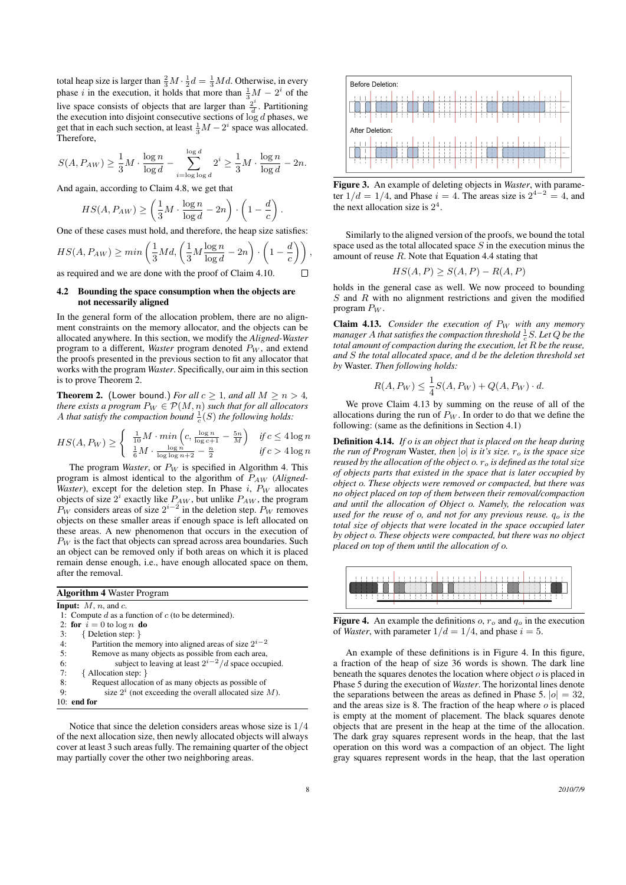total heap size is larger than  $\frac{2}{3}M \cdot \frac{1}{2}d = \frac{1}{3}Md$ . Otherwise, in every phase *i* in the execution, it holds that more than  $\frac{1}{3}M - 2^i$  of the live space consists of objects that are larger than  $\frac{2^i}{d}$  $\frac{2^e}{d}$ . Partitioning the execution into disjoint consecutive sections of log *d* phases, we get that in each such section, at least  $\frac{1}{3}M - 2^i$  space was allocated. Therefore,

$$
S(A, P_{AW}) \ge \frac{1}{3}M \cdot \frac{\log n}{\log d} - \sum_{i=\log \log d}^{\log d} 2^i \ge \frac{1}{3}M \cdot \frac{\log n}{\log d} - 2n.
$$

And again, according to Claim 4.8, we get that

$$
HS(A, P_{AW}) \ge \left(\frac{1}{3}M \cdot \frac{\log n}{\log d} - 2n\right) \cdot \left(1 - \frac{d}{c}\right).
$$

One of these cases must hold, and therefore, the heap size satisfies:

$$
HS(A, P_{AW}) \ge \min\left(\frac{1}{3}Md, \left(\frac{1}{3}M\frac{\log n}{\log d} - 2n\right) \cdot \left(1 - \frac{d}{c}\right)\right),
$$
 as required and we are done with the proof of Claim 4.10.

as required and we are done with the proof of Claim 4.10.

## 4.2 Bounding the space consumption when the objects are not necessarily aligned

In the general form of the allocation problem, there are no alignment constraints on the memory allocator, and the objects can be allocated anywhere. In this section, we modify the *Aligned-Waster* program to a different, *Waster* program denoted *P<sup>W</sup>* , and extend the proofs presented in the previous section to fit any allocator that works with the program *Waster*. Specifically, our aim in this section is to prove Theorem 2.

**Theorem 2.** (Lower bound.) *For all*  $c \geq 1$ *, and all*  $M \geq n > 4$ *, there exists a program*  $P_W \in \mathcal{P}(M, n)$  *such that for all allocators A* that satisfy the compaction bound  $\frac{1}{c}(S)$  the following holds:

$$
HS(A, P_W) \ge \begin{cases} \frac{1}{10}M \cdot min\left(c, \frac{\log n}{\log c + 1} - \frac{5n}{M}\right) & \text{if } c \le 4\log n\\ \frac{1}{6}M \cdot \frac{\log n}{\log \log n + 2} - \frac{n}{2} & \text{if } c > 4\log n \end{cases}
$$

The program *Waster*, or *P<sup>W</sup>* is specified in Algorithm 4. This program is almost identical to the algorithm of *PAW* (*Aligned-Waster*), except for the deletion step. In Phase *i*, *P<sup>W</sup>* allocates objects of size  $2^i$  exactly like  $P_{AW}$ , but unlike  $P_{AW}$ , the program  $P_W$  considers areas of size  $2^{i-2}$  in the deletion step.  $P_W$  removes objects on these smaller areas if enough space is left allocated on these areas. A new phenomenon that occurs in the execution of  $P_W$  is the fact that objects can spread across area boundaries. Such an object can be removed only if both areas on which it is placed remain dense enough, i.e., have enough allocated space on them, after the removal.

|    | <b>Algorithm 4 Waster Program</b>                         |  |  |
|----|-----------------------------------------------------------|--|--|
|    | <b>Input:</b> $M$ , $n$ , and $c$ .                       |  |  |
|    | 1: Compute d as a function of $c$ (to be determined).     |  |  |
|    | 2: for $i=0$ to $\log n$ do                               |  |  |
| 3: | { Deletion step: }                                        |  |  |
| 4: | Partition the memory into aligned areas of size $2^{i-2}$ |  |  |
| 5: | Remove as many objects as possible from each area,        |  |  |
| 6: | subject to leaving at least $2^{i-2}/d$ space occupied.   |  |  |
| 7: | { Allocation step: }                                      |  |  |
| 8: | Request allocation of as many objects as possible of      |  |  |
| 9: | size $2^i$ (not exceeding the overall allocated size M).  |  |  |
|    | $10:$ end for                                             |  |  |

Notice that since the deletion considers areas whose size is 1*/*4 of the next allocation size, then newly allocated objects will always cover at least 3 such areas fully. The remaining quarter of the object may partially cover the other two neighboring areas.



Figure 3. An example of deleting objects in *Waster*, with parameter  $1/d = 1/4$ , and Phase  $i = 4$ . The areas size is  $2^{4-2} = 4$ , and the next allocation size is  $2<sup>4</sup>$ .

Similarly to the aligned version of the proofs, we bound the total space used as the total allocated space *S* in the execution minus the amount of reuse *R*. Note that Equation 4.4 stating that

$$
HS(A, P) \ge S(A, P) - R(A, P)
$$

holds in the general case as well. We now proceed to bounding *S* and *R* with no alignment restrictions and given the modified program *P<sup>W</sup>* .

**Claim 4.13.** *Consider the execution of*  $P_W$  *with any memory manager A that satisfies the compaction threshold*  $\frac{1}{c}$ *S. Let Q be the total amount of compaction during the execution, let R be the reuse, and S the total allocated space, and d be the deletion threshold set by* Waster*. Then following holds:*

$$
R(A, P_W) \le \frac{1}{4}S(A, P_W) + Q(A, P_W) \cdot d.
$$

We prove Claim 4.13 by summing on the reuse of all of the allocations during the run of *P<sup>W</sup>* . In order to do that we define the following: (same as the definitions in Section 4.1)

Definition 4.14. *If o is an object that is placed on the heap during the run of Program* Waster*, then |o| is it's size. r<sup>o</sup> is the space size reused by the allocation of the object o. r<sup>o</sup> is defined as the total size of objects parts that existed in the space that is later occupied by object o. These objects were removed or compacted, but there was no object placed on top of them between their removal/compaction and until the allocation of Object o. Namely, the relocation was used for the reuse of o, and not for any previous reuse. q<sup>o</sup> is the total size of objects that were located in the space occupied later by object o. These objects were compacted, but there was no object placed on top of them until the allocation of o.*



**Figure 4.** An example the definitions  $o, r_o$  and  $q_o$  in the execution of *Waster*, with parameter  $1/d = 1/4$ , and phase  $i = 5$ .

An example of these definitions is in Figure 4. In this figure, a fraction of the heap of size 36 words is shown. The dark line beneath the squares denotes the location where object *o* is placed in Phase 5 during the execution of *Waster*. The horizontal lines denote the separations between the areas as defined in Phase 5.  $|o| = 32$ , and the areas size is 8. The fraction of the heap where *o* is placed is empty at the moment of placement. The black squares denote objects that are present in the heap at the time of the allocation. The dark gray squares represent words in the heap, that the last operation on this word was a compaction of an object. The light gray squares represent words in the heap, that the last operation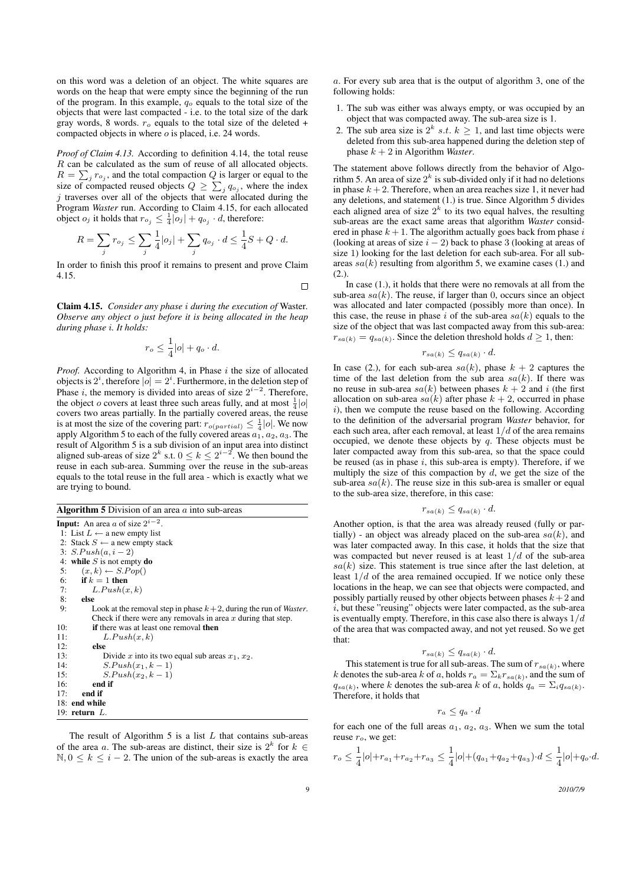on this word was a deletion of an object. The white squares are words on the heap that were empty since the beginning of the run of the program. In this example, *q<sup>o</sup>* equals to the total size of the objects that were last compacted - i.e. to the total size of the dark gray words, 8 words. *r<sup>o</sup>* equals to the total size of the deleted + compacted objects in where *o* is placed, i.e. 24 words.

*Proof of Claim 4.13.* According to definition 4.14, the total reuse *R* can be calculated as the sum of reuse of all allocated objects.  $R = \sum_{j} r_{o_j}$ , and the total compaction *Q* is larger or equal to the size of compacted reused objects  $Q \geq \sum_{j} q_{o_j}$ , where the index *j* traverses over all of the objects that were allocated during the Program *Waster* run. According to Claim 4.15, for each allocated object  $o_j$  it holds that  $r_{o_j} \leq \frac{1}{4}|\overline{o}_j| + q_{o_j} \cdot d$ , therefore:

$$
R = \sum_{j} r_{o_j} \le \sum_{j} \frac{1}{4} |o_j| + \sum_{j} q_{o_j} \cdot d \le \frac{1}{4}S + Q \cdot d.
$$

In order to finish this proof it remains to present and prove Claim 4.15.  $\Box$ 

Claim 4.15. *Consider any phase i during the execution of* Waster*. Observe any object o just before it is being allocated in the heap during phase i. It holds:*

$$
r_o \le \frac{1}{4}|o| + q_o \cdot d.
$$

*Proof.* According to Algorithm 4, in Phase *i* the size of allocated objects is  $2^i$ , therefore  $|o|=2^i$ . Furthermore, in the deletion step of Phase *i*, the memory is divided into areas of size  $2^{i-2}$ . Therefore, the object *o* covers at least three such areas fully, and at most  $\frac{1}{4}|o|$ covers two areas partially. In the partially covered areas, the reuse is at most the size of the covering part:  $r_{o(partial)} \leq \frac{1}{4}|o|$ . We now apply Algorithm 5 to each of the fully covered areas *a*1, *a*2, *a*3. The result of Algorithm 5 is a sub division of an input area into distinct aligned sub-areas of size  $2^k$  s.t.  $0 \le k \le 2^{i-2}$ . We then bound the reuse in each sub-area. Summing over the reuse in the sub-areas equals to the total reuse in the full area - which is exactly what we are trying to bound.

Algorithm 5 Division of an area *a* into sub-areas

**Input:** An area *a* of size  $2^{i-2}$ . 1: List  $L$  ← a new empty list 2: Stack  $S \leftarrow$  a new empty stack 3: *S.P ush*(*a, i −* 2) 4: while *S* is not empty do 5:  $(x, k) \leftarrow S.pop()$ 6: if  $k = 1$  then<br>7: L.Push(x  $L.Push(x, k)$ 8: else 9: Look at the removal step in phase *k*+2, during the run of *Waster*. Check if there were any removals in area *x* during that step. 10: **if** there was at least one removal **then** 11:  $L.Push(x, k)$  $L.Push(x, k)$ 12: else 13: Divide *x* into its two equal sub areas  $x_1, x_2$ .<br>14:  $S.Push(x_1, k-1)$  $S. Push(x_1, k-1)$ 15: *S.Push*( $x_2, k - 1$ )<br>16: **end if** end if 17: end if 18: end while 19: return *L*.

The result of Algorithm 5 is a list *L* that contains sub-areas of the area *a*. The sub-areas are distinct, their size is  $2^k$  for  $k \in$  $\mathbb{N}, 0 \leq k \leq i - 2$ . The union of the sub-areas is exactly the area *a*. For every sub area that is the output of algorithm 3, one of the following holds:

- 1. The sub was either was always empty, or was occupied by an object that was compacted away. The sub-area size is 1.
- 2. The sub area size is  $2^k$  *s.t.*  $k \geq 1$ , and last time objects were deleted from this sub-area happened during the deletion step of phase *k* + 2 in Algorithm *Waster*.

The statement above follows directly from the behavior of Algorithm 5. An area of size  $2^k$  is sub-divided only if it had no deletions in phase  $k + 2$ . Therefore, when an area reaches size 1, it never had any deletions, and statement (1.) is true. Since Algorithm 5 divides each aligned area of size  $2<sup>k</sup>$  to its two equal halves, the resulting sub-areas are the exact same areas that algorithm *Waster* considered in phase  $k + 1$ . The algorithm actually goes back from phase  $i$ (looking at areas of size *i −* 2) back to phase 3 (looking at areas of size 1) looking for the last deletion for each sub-area. For all subareas  $sa(k)$  resulting from algorithm 5, we examine cases (1.) and  $(2.)$ .

In case (1.), it holds that there were no removals at all from the sub-area  $sa(k)$ . The reuse, if larger than 0, occurs since an object was allocated and later compacted (possibly more than once). In this case, the reuse in phase  $i$  of the sub-area  $sa(k)$  equals to the size of the object that was last compacted away from this sub-area:  $r_{sa(k)} = q_{sa(k)}$ . Since the deletion threshold holds  $d \geq 1$ , then:

$$
r_{sa(k)} \le q_{sa(k)} \cdot d.
$$

In case (2.), for each sub-area  $sa(k)$ , phase  $k + 2$  captures the time of the last deletion from the sub area  $sa(k)$ . If there was no reuse in sub-area  $sa(k)$  between phases  $k + 2$  and *i* (the first allocation on sub-area  $sa(k)$  after phase  $k + 2$ , occurred in phase *i*), then we compute the reuse based on the following. According to the definition of the adversarial program *Waster* behavior, for each such area, after each removal, at least 1*/d* of the area remains occupied, we denote these objects by *q*. These objects must be later compacted away from this sub-area, so that the space could be reused (as in phase *i*, this sub-area is empty). Therefore, if we multiply the size of this compaction by *d*, we get the size of the sub-area  $sa(k)$ . The reuse size in this sub-area is smaller or equal to the sub-area size, therefore, in this case:

$$
r_{sa(k)} \le q_{sa(k)} \cdot d.
$$

Another option, is that the area was already reused (fully or partially) - an object was already placed on the sub-area  $sa(k)$ , and was later compacted away. In this case, it holds that the size that was compacted but never reused is at least 1*/d* of the sub-area  $sa(k)$  size. This statement is true since after the last deletion, at least 1*/d* of the area remained occupied. If we notice only these locations in the heap, we can see that objects were compacted, and possibly partially reused by other objects between phases  $k + 2$  and *i*, but these "reusing" objects were later compacted, as the sub-area is eventually empty. Therefore, in this case also there is always 1*/d* of the area that was compacted away, and not yet reused. So we get that:

$$
r_{sa(k)} \le q_{sa(k)} \cdot d.
$$

This statement is true for all sub-areas. The sum of  $r_{sa(k)}$ , where *k* denotes the sub-area *k* of *a*, holds  $r_a = \sum_k r_{sa(k)}$ , and the sum of  $q_{sa(k)}$ , where *k* denotes the sub-area *k* of *a*, holds  $q_a = \sum_i q_{sa(k)}$ . Therefore, it holds that

$$
r_a \le q_a \cdot d
$$

for each one of the full areas *a*1, *a*2, *a*3. When we sum the total reuse *ro*, we get:

$$
r_o \leq \frac{1}{4}|o| + r_{a_1} + r_{a_2} + r_{a_3} \leq \frac{1}{4}|o| + (q_{a_1} + q_{a_2} + q_{a_3}) \cdot d \leq \frac{1}{4}|o| + q_o \cdot d.
$$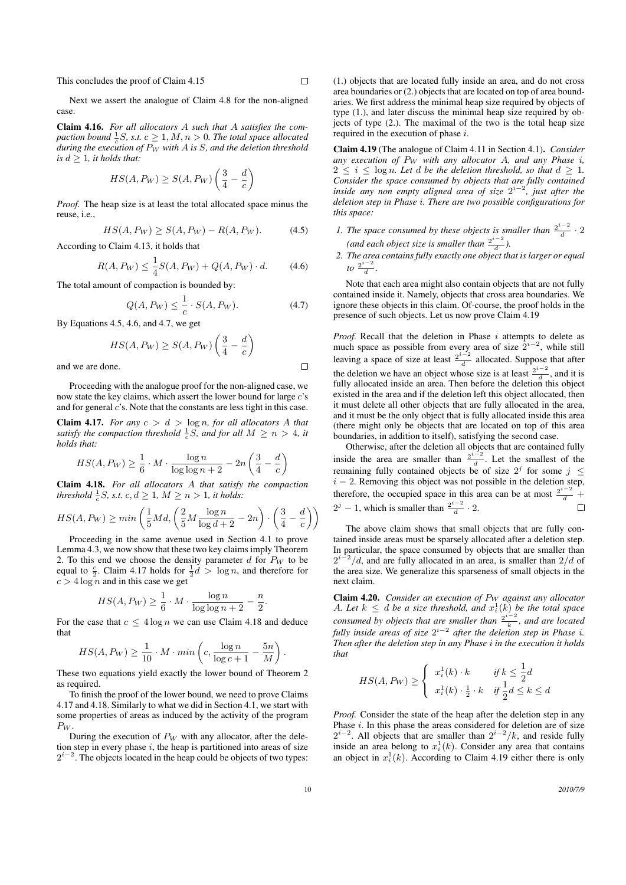This concludes the proof of Claim 4.15

Next we assert the analogue of Claim 4.8 for the non-aligned case.

 $\Box$ 

 $\Box$ 

Claim 4.16. *For all allocators A such that A satisfies the compaction bound*  $\frac{1}{c}S$ *, s.t.*  $c \geq 1, M, n > 0$ *. The total space allocated during the execution of P<sup>W</sup> with A is S, and the deletion threshold is*  $d \geq 1$ *, it holds that:* 

$$
HS(A, P_W) \ge S(A, P_W) \left(\frac{3}{4} - \frac{d}{c}\right)
$$

*Proof.* The heap size is at least the total allocated space minus the reuse, i.e.,

$$
HS(A, P_W) \ge S(A, P_W) - R(A, P_W). \tag{4.5}
$$

According to Claim 4.13, it holds that

$$
R(A, P_W) \le \frac{1}{4}S(A, P_W) + Q(A, P_W) \cdot d. \tag{4.6}
$$

The total amount of compaction is bounded by:

$$
Q(A, P_W) \le \frac{1}{c} \cdot S(A, P_W). \tag{4.7}
$$

By Equations 4.5, 4.6, and 4.7, we get

$$
HS(A, P_W) \ge S(A, P_W) \left(\frac{3}{4} - \frac{d}{c}\right)
$$

and we are done.

Proceeding with the analogue proof for the non-aligned case, we now state the key claims, which assert the lower bound for large *c*'s and for general *c*'s. Note that the constants are less tight in this case.

**Claim 4.17.** For any  $c > d > \log n$ , for all allocators A that *satisfy the compaction threshold*  $\frac{1}{c}S$ *, and for all*  $M \ge n > 4$ *, it holds that:*

$$
HS(A, P_W) \ge \frac{1}{6} \cdot M \cdot \frac{\log n}{\log \log n + 2} - 2n\left(\frac{3}{4} - \frac{d}{c}\right)
$$

Claim 4.18. *For all allocators A that satisfy the compaction threshold*  $\frac{1}{c}S$ *, s.t.*  $c, d \geq 1$ *,*  $M \geq n > 1$ *, it holds:* 

$$
HS(A, P_W) \ge \min\left(\frac{1}{5}Md, \left(\frac{2}{5}M\frac{\log n}{\log d + 2} - 2n\right) \cdot \left(\frac{3}{4} - \frac{d}{c}\right)\right)
$$

Proceeding in the same avenue used in Section 4.1 to prove Lemma 4.3, we now show that these two key claims imply Theorem 2. To this end we choose the density parameter  $d$  for  $P_W$  to be equal to  $\frac{c}{2}$ . Claim 4.17 holds for  $\frac{1}{2}d$  > log *n*, and therefore for  $c > 4 \log n$  and in this case we get

$$
HS(A, P_W) \ge \frac{1}{6} \cdot M \cdot \frac{\log n}{\log \log n + 2} - \frac{n}{2}.
$$

For the case that  $c \leq 4 \log n$  we can use Claim 4.18 and deduce that

$$
HS(A, P_W) \ge \frac{1}{10} \cdot M \cdot min\left(c, \frac{\log n}{\log c + 1} - \frac{5n}{M}\right)
$$

These two equations yield exactly the lower bound of Theorem 2 as required.

To finish the proof of the lower bound, we need to prove Claims 4.17 and 4.18. Similarly to what we did in Section 4.1, we start with some properties of areas as induced by the activity of the program *P<sup>W</sup>* .

During the execution of *P<sup>W</sup>* with any allocator, after the deletion step in every phase *i*, the heap is partitioned into areas of size 2<sup>*i*−2</sup>. The objects located in the heap could be objects of two types:

(1.) objects that are located fully inside an area, and do not cross area boundaries or (2.) objects that are located on top of area boundaries. We first address the minimal heap size required by objects of type (1.), and later discuss the minimal heap size required by objects of type (2.). The maximal of the two is the total heap size required in the execution of phase *i*.

Claim 4.19 (The analogue of Claim 4.11 in Section 4.1). *Consider any execution of P<sup>W</sup> with any allocator A, and any Phase i,*  $2 \leq i \leq \log n$ . Let *d* be the deletion threshold, so that  $d \geq 1$ . *Consider the space consumed by objects that are fully contained inside any non empty aligned area of size* 2 *i−*2 *, just after the deletion step in Phase i. There are two possible configurations for this space:*

- *1. The space consumed by these objects is smaller than*  $\frac{2^{i-2}}{d}$  · 2 (and each object size is smaller than  $\frac{2^{i-2}}{d}$ ).
- *2. The area contains fully exactly one object that is larger or equal*  $to \frac{2^{i-2}}{d}$ .

Note that each area might also contain objects that are not fully contained inside it. Namely, objects that cross area boundaries. We ignore these objects in this claim. Of-course, the proof holds in the presence of such objects. Let us now prove Claim 4.19

*Proof.* Recall that the deletion in Phase *i* attempts to delete as much space as possible from every area of size  $2^{i-2}$ , while still leaving a space of size at least  $\frac{2^{i-2}}{d}$  allocated. Suppose that after the deletion we have an object whose size is at least  $\frac{2^{i-2}}{d}$ , and it is fully allocated inside an area. Then before the deletion this object existed in the area and if the deletion left this object allocated, then it must delete all other objects that are fully allocated in the area, and it must be the only object that is fully allocated inside this area (there might only be objects that are located on top of this area boundaries, in addition to itself), satisfying the second case.

Otherwise, after the deletion all objects that are contained fully inside the area are smaller than  $\frac{2^{i-2}}{d}$ . Let the smallest of the remaining fully contained objects be of size  $2^j$  for some  $j \leq$ *i* − 2. Removing this object was not possible in the deletion step, therefore, the occupied space in this area can be at most  $\frac{2^{i-2}}{d}$  +  $2^{j} - 1$ , which is smaller than  $\frac{2^{i-2}}{d} \cdot 2$ .  $\Box$ 

The above claim shows that small objects that are fully contained inside areas must be sparsely allocated after a deletion step. In particular, the space consumed by objects that are smaller than  $2^{i}$ *i*<sup>*−*2</sup> */d*, and are fully allocated in an area, is smaller than 2/*d* of the area size. We generalize this sparseness of small objects in the next claim.

Claim 4.20. *Consider an execution of P<sup>W</sup> against any allocator A. Let*  $k \leq d$  *be a size threshold, and*  $x_i^1(k)$  *be the total space consumed by objects that are smaller than*  $\frac{2^{i-2}}{k}$ *, and are located fully inside areas of size* 2 *i−*2 *after the deletion step in Phase i. Then after the deletion step in any Phase i in the execution it holds that*

$$
HS(A, P_W) \ge \begin{cases} x_i^1(k) \cdot k & \text{if } k \le \frac{1}{2}d \\ x_i^1(k) \cdot \frac{1}{2} \cdot k & \text{if } \frac{1}{2}d \le k \le d \end{cases}
$$

*Proof.* Consider the state of the heap after the deletion step in any Phase *i*. In this phase the areas considered for deletion are of size  $2^{i-2}$ . All objects that are smaller than  $2^{i-2}/k$ , and reside fully inside an area belong to  $x_i^1(k)$ . Consider any area that contains an object in  $x_i^1(k)$ . According to Claim 4.19 either there is only

*.*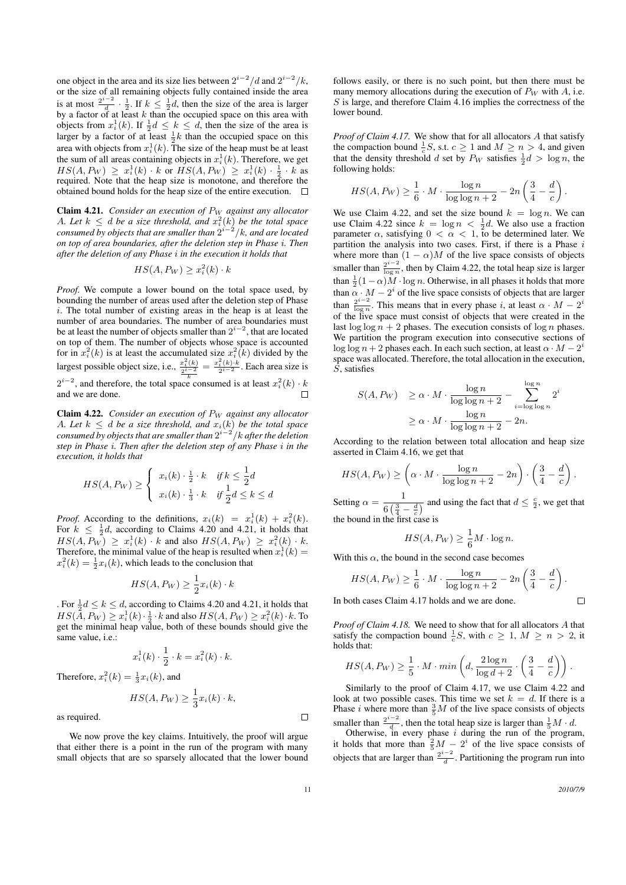one object in the area and its size lies between  $2^{i-2}/d$  and  $2^{i-2}/k$ , or the size of all remaining objects fully contained inside the area is at most  $\frac{2^{i-2}}{d} \cdot \frac{1}{2}$ . If  $k \leq \frac{1}{2}d$ , then the size of the area is larger by a factor of at least *k* than the occupied space on this area with objects from  $x_i^1(k)$ . If  $\frac{1}{2}d \leq k \leq d$ , then the size of the area is larger by a factor of at least  $\frac{1}{2}k$  than the occupied space on this area with objects from  $x_i^1(k)$ . The size of the heap must be at least the sum of all areas containing objects in  $x_i^1(k)$ . Therefore, we get  $HS(A, P_W) \geq x_i^1(k) \cdot k$  or  $HS(A, P_W) \geq x_i^1(k) \cdot \frac{1}{2} \cdot k$  as required. Note that the heap size is monotone, and therefore the obtained bound holds for the heap size of the entire execution.  $\Box$ 

Claim 4.21. *Consider an execution of P<sup>W</sup> against any allocator A.* Let  $k \leq d$  *be a size threshold, and*  $x_i^2(k)$  *be the total space consumed by objects that are smaller than* 2 *i−*2 */k, and are located on top of area boundaries, after the deletion step in Phase i. Then after the deletion of any Phase i in the execution it holds that*

$$
HS(A, P_W) \ge x_i^2(k) \cdot k
$$

*Proof.* We compute a lower bound on the total space used, by bounding the number of areas used after the deletion step of Phase *i*. The total number of existing areas in the heap is at least the number of area boundaries. The number of area boundaries must be at least the number of objects smaller than 2 *i−*2 , that are located on top of them. The number of objects whose space is accounted for in  $x_i^2(k)$  is at least the accumulated size  $x_i^2(k)$  divided by the largest possible object size, i.e.,  $\frac{x_i^2(k)}{2^i-2} = \frac{x_i^2(k)\cdot k}{2^i-2}$ . Each area size is  $2^{i-2}$ , and therefore, the total space consumed is at least  $x_i^2(k) \cdot k$ and we are done.

Claim 4.22. *Consider an execution of P<sup>W</sup> against any allocator A. Let*  $k \leq d$  *be a size threshold, and*  $x_i(k)$  *be the total space consumed by objects that are smaller than* 2 *i−*2 */k after the deletion step in Phase i. Then after the deletion step of any Phase i in the execution, it holds that*

$$
HS(A, P_W) \ge \begin{cases} x_i(k) \cdot \frac{1}{2} \cdot k & \text{if } k \le \frac{1}{2}d \\ x_i(k) \cdot \frac{1}{3} \cdot k & \text{if } \frac{1}{2}d \le k \le d \end{cases}
$$

*Proof.* According to the definitions,  $x_i(k) = x_i^1(k) + x_i^2(k)$ . For  $k \leq \frac{1}{2}d$ , according to Claims 4.20 and 4.21, it holds that  $HS(A, P_W) \geq x_i^1(k) \cdot k$  and also  $HS(A, P_W) \geq x_i^2(k) \cdot k$ . Therefore, the minimal value of the heap is resulted when  $x_i^1(k) =$  $x_i^2(k) = \frac{1}{2}x_i(k)$ , which leads to the conclusion that

$$
HS(A, P_W) \ge \frac{1}{2}x_i(k) \cdot k
$$

. For  $\frac{1}{2}d \leq k \leq d$ , according to Claims 4.20 and 4.21, it holds that  $HS(A, P_W) \geq x_i^1(k) \cdot \frac{1}{2} \cdot k$  and also  $HS(A, P_W) \geq x_i^2(k) \cdot k$ . To  $\lim_{n \to \infty} (x_1, y_1, y_2, z_3, z_4, z_5, z_6, z_7, z_8, z_7, z_8, z_7, z_8, z_7, z_7, z_8, z_8, z_9, z_9, z_9, z_1, z_1, z_2, z_3, z_4, z_7, z_8, z_9, z_9, z_1, z_2, z_3, z_4, z_7, z_8, z_9, z_1, z_2, z_3, z_4, z_7, z_8, z_9, z_1, z_2, z_3, z_4, z_7, z_8, z_9, z_1, z_2, z$ same value, i.e.:

$$
x_i^1(k) \cdot \frac{1}{2} \cdot k = x_i^2(k) \cdot k.
$$

Therefore,  $x_i^2(k) = \frac{1}{3}x_i(k)$ , and

$$
HS(A, P_W) \ge \frac{1}{3}x_i(k) \cdot k,
$$

as required.

We now prove the key claims. Intuitively, the proof will argue that either there is a point in the run of the program with many small objects that are so sparsely allocated that the lower bound follows easily, or there is no such point, but then there must be many memory allocations during the execution of  $P_W$  with  $A$ , i.e. *S* is large, and therefore Claim 4.16 implies the correctness of the lower bound.

*Proof of Claim 4.17.* We show that for all allocators *A* that satisfy the compaction bound  $\frac{1}{c}S$ , s.t.  $c \geq 1$  and  $M \geq n > 4$ , and given that the density threshold *d* set by  $P_W$  satisfies  $\frac{1}{2}d > \log n$ , the following holds:

$$
HS(A, P_W) \ge \frac{1}{6} \cdot M \cdot \frac{\log n}{\log \log n + 2} - 2n\left(\frac{3}{4} - \frac{d}{c}\right).
$$

We use Claim 4.22, and set the size bound  $k = \log n$ . We can use Claim 4.22 since  $k = \log n < \frac{1}{2}d$ . We also use a fraction parameter  $\alpha$ , satisfying  $0 < \alpha < 1$ , to be determined later. We partition the analysis into two cases. First, if there is a Phase *i* where more than  $(1 - \alpha)M$  of the live space consists of objects smaller than  $\frac{2^{i-2}}{\log n}$ , then by Claim 4.22, the total heap size is larger than  $\frac{1}{2}(1-\alpha)M \cdot \log n$ . Otherwise, in all phases it holds that more than  $\alpha \cdot M - 2^i$  of the live space consists of objects that are larger than  $\frac{2^{i-2}}{\log n}$ . This means that in every phase *i*, at least  $\alpha \cdot M - 2^i$ of the live space must consist of objects that were created in the last  $\log \log n + 2$  phases. The execution consists of  $\log n$  phases. We partition the program execution into consecutive sections of log  $log n + 2$  phases each. In each such section, at least  $\alpha \cdot M - 2^i$ space was allocated. Therefore, the total allocation in the execution, *S*, satisfies

$$
S(A, P_W) \ge \alpha \cdot M \cdot \frac{\log n}{\log \log n + 2} - \sum_{i=\log \log n}^{\log n} 2^i
$$
  
 
$$
\ge \alpha \cdot M \cdot \frac{\log n}{\log \log n + 2} - 2n.
$$

According to the relation between total allocation and heap size asserted in Claim 4.16, we get that

$$
HS(A, P_W) \ge \left(\alpha \cdot M \cdot \frac{\log n}{\log \log n + 2} - 2n\right) \cdot \left(\frac{3}{4} - \frac{d}{c}\right).
$$

Setting  $\alpha = \frac{1}{a^2}$  $\frac{1}{6\left(\frac{3}{4}-\frac{d}{c}\right)}$  and using the fact that  $d \leq \frac{c}{2}$ , we get that the bound in the first case is

$$
HS(A, P_W) \ge \frac{1}{6}M \cdot \log n.
$$

With this  $\alpha$ , the bound in the second case becomes

$$
HS(A, P_W) \ge \frac{1}{6} \cdot M \cdot \frac{\log n}{\log \log n + 2} - 2n\left(\frac{3}{4} - \frac{d}{c}\right).
$$

In both cases Claim 4.17 holds and we are done.

*Proof of Claim 4.18.* We need to show that for all allocators *A* that satisfy the compaction bound  $\frac{1}{c}S$ , with  $c \geq 1$ ,  $M \geq n > 2$ , it holds that:

$$
HS(A, P_W) \ge \frac{1}{5} \cdot M \cdot min\left(d, \frac{2\log n}{\log d + 2} \cdot \left(\frac{3}{4} - \frac{d}{c}\right)\right).
$$

Similarly to the proof of Claim 4.17, we use Claim 4.22 and look at two possible cases. This time we set  $k = d$ . If there is a Phase *i* where more than  $\frac{3}{5}M$  of the live space consists of objects smaller than  $\frac{2^{i-2}}{d}$ , then the total heap size is larger than  $\frac{1}{5}M \cdot d$ .

Otherwise, in every phase *i* during the run of the program, it holds that more than  $\frac{2}{5}M - 2^i$  of the live space consists of objects that are larger than  $\frac{2^{i-2}}{d}$ . Partitioning the program run into

 $\Box$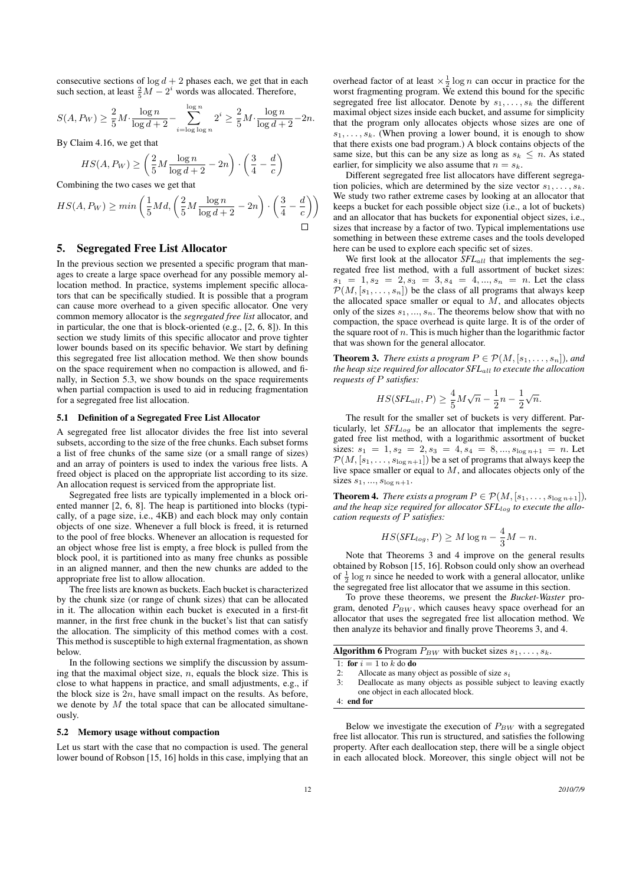consecutive sections of  $log d + 2$  phases each, we get that in each such section, at least  $\frac{2}{5}M - 2^i$  words was allocated. Therefore,

$$
S(A, P_W) \ge \frac{2}{5} M \cdot \frac{\log n}{\log d + 2} - \sum_{i=\log \log n}^{\log n} 2^i \ge \frac{2}{5} M \cdot \frac{\log n}{\log d + 2} - 2n.
$$

By Claim 4.16, we get that

$$
HS(A, P_W) \ge \left(\frac{2}{5}M\frac{\log n}{\log d + 2} - 2n\right) \cdot \left(\frac{3}{4} - \frac{d}{c}\right)
$$

Combining the two cases we get that

$$
HS(A, P_W) \ge \min\left(\frac{1}{5}Md, \left(\frac{2}{5}M\frac{\log n}{\log d + 2} - 2n\right) \cdot \left(\frac{3}{4} - \frac{d}{c}\right)\right)
$$

# 5. Segregated Free List Allocator

In the previous section we presented a specific program that manages to create a large space overhead for any possible memory allocation method. In practice, systems implement specific allocators that can be specifically studied. It is possible that a program can cause more overhead to a given specific allocator. One very common memory allocator is the *segregated free list* allocator, and in particular, the one that is block-oriented (e.g., [2, 6, 8]). In this section we study limits of this specific allocator and prove tighter lower bounds based on its specific behavior. We start by defining this segregated free list allocation method. We then show bounds on the space requirement when no compaction is allowed, and finally, in Section 5.3, we show bounds on the space requirements when partial compaction is used to aid in reducing fragmentation for a segregated free list allocation.

## 5.1 Definition of a Segregated Free List Allocator

A segregated free list allocator divides the free list into several subsets, according to the size of the free chunks. Each subset forms a list of free chunks of the same size (or a small range of sizes) and an array of pointers is used to index the various free lists. A freed object is placed on the appropriate list according to its size. An allocation request is serviced from the appropriate list.

Segregated free lists are typically implemented in a block oriented manner [2, 6, 8]. The heap is partitioned into blocks (typically, of a page size, i.e., 4KB) and each block may only contain objects of one size. Whenever a full block is freed, it is returned to the pool of free blocks. Whenever an allocation is requested for an object whose free list is empty, a free block is pulled from the block pool, it is partitioned into as many free chunks as possible in an aligned manner, and then the new chunks are added to the appropriate free list to allow allocation.

The free lists are known as buckets. Each bucket is characterized by the chunk size (or range of chunk sizes) that can be allocated in it. The allocation within each bucket is executed in a first-fit manner, in the first free chunk in the bucket's list that can satisfy the allocation. The simplicity of this method comes with a cost. This method is susceptible to high external fragmentation, as shown below.

In the following sections we simplify the discussion by assuming that the maximal object size, *n*, equals the block size. This is close to what happens in practice, and small adjustments, e.g., if the block size is 2*n*, have small impact on the results. As before, we denote by *M* the total space that can be allocated simultaneously.

# 5.2 Memory usage without compaction

Let us start with the case that no compaction is used. The general lower bound of Robson [15, 16] holds in this case, implying that an

overhead factor of at least  $\times \frac{1}{2} \log n$  can occur in practice for the worst fragmenting program. We extend this bound for the specific segregated free list allocator. Denote by  $s_1, \ldots, s_k$  the different maximal object sizes inside each bucket, and assume for simplicity that the program only allocates objects whose sizes are one of  $s_1, \ldots, s_k$ . (When proving a lower bound, it is enough to show that there exists one bad program.) A block contains objects of the same size, but this can be any size as long as  $s_k \leq n$ . As stated earlier, for simplicity we also assume that  $n = s_k$ .

Different segregated free list allocators have different segregation policies, which are determined by the size vector  $s_1, \ldots, s_k$ . We study two rather extreme cases by looking at an allocator that keeps a bucket for each possible object size (i.e., a lot of buckets) and an allocator that has buckets for exponential object sizes, i.e., sizes that increase by a factor of two. Typical implementations use something in between these extreme cases and the tools developed here can be used to explore each specific set of sizes.

We first look at the allocator  $SFL_{all}$  that implements the segregated free list method, with a full assortment of bucket sizes:  $s_1 = 1, s_2 = 2, s_3 = 3, s_4 = 4, ..., s_n = n$ . Let the class  $P(M, [s_1, \ldots, s_n])$  be the class of all programs that always keep the allocated space smaller or equal to *M*, and allocates objects only of the sizes *s*1*, ..., sn*. The theorems below show that with no compaction, the space overhead is quite large. It is of the order of the square root of *n*. This is much higher than the logarithmic factor that was shown for the general allocator.

**Theorem 3.** *There exists a program*  $P \in \mathcal{P}(M, [s_1, \ldots, s_n])$ *, and the heap size required for allocator SFLall to execute the allocation requests of P satisfies:*

$$
HS(SFL_{all}, P) \ge \frac{4}{5}M\sqrt{n} - \frac{1}{2}n - \frac{1}{2}\sqrt{n}.
$$

The result for the smaller set of buckets is very different. Particularly, let *SFLlog* be an allocator that implements the segregated free list method, with a logarithmic assortment of bucket sizes:  $s_1 = 1, s_2 = 2, s_3 = 4, s_4 = 8, ..., s_{\log n+1} = n$ . Let  $P(M, [s_1, \ldots, s_{\log n+1}])$  be a set of programs that always keep the live space smaller or equal to *M*, and allocates objects only of the sizes *s*1*, ..., s*log *<sup>n</sup>*+1.

**Theorem 4.** *There exists a program*  $P \in \mathcal{P}(M, [s_1, \ldots, s_{\log n+1}])$ *, and the heap size required for allocator SFLlog to execute the allocation requests of P satisfies:*

$$
HS(SFL_{log}, P) \geq M \log n - \frac{4}{3}M - n.
$$

Note that Theorems 3 and 4 improve on the general results obtained by Robson [15, 16]. Robson could only show an overhead of  $\frac{1}{2}$  log *n* since he needed to work with a general allocator, unlike the segregated free list allocator that we assume in this section.

To prove these theorems, we present the *Bucket-Waster* program, denoted  $P_{BW}$ , which causes heavy space overhead for an allocator that uses the segregated free list allocation method. We then analyze its behavior and finally prove Theorems 3, and 4.

| <b>Algorithm 6</b> Program $P_{BW}$ with bucket sizes $s_1, \ldots, s_k$ . |  |
|----------------------------------------------------------------------------|--|
| 1: for $i = 1$ to k do do                                                  |  |
| Allocate as many object as possible of size $s_i$<br>2:                    |  |
| Deallocate as many objects as possible subject to leaving exactly<br>3:    |  |
| one object in each allocated block.                                        |  |
| $4:$ end for                                                               |  |

Below we investigate the execution of *PBW* with a segregated free list allocator. This run is structured, and satisfies the following property. After each deallocation step, there will be a single object in each allocated block. Moreover, this single object will not be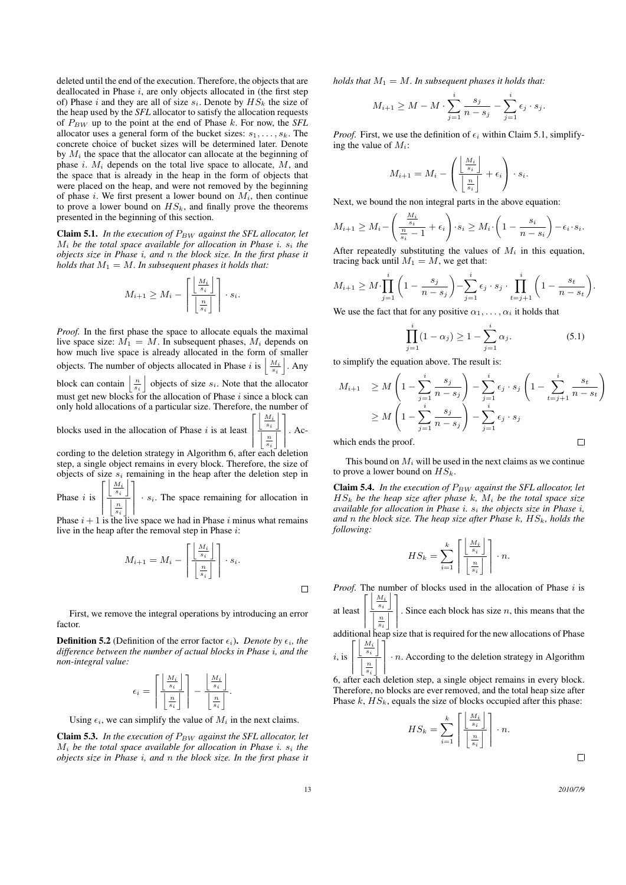deleted until the end of the execution. Therefore, the objects that are deallocated in Phase *i*, are only objects allocated in (the first step of) Phase *i* and they are all of size  $s_i$ . Denote by  $HS_k$  the size of the heap used by the *SFL* allocator to satisfy the allocation requests of *PBW* up to the point at the end of Phase *k*. For now, the *SFL* allocator uses a general form of the bucket sizes:  $s_1, \ldots, s_k$ . The concrete choice of bucket sizes will be determined later. Denote by  $M_i$  the space that the allocator can allocate at the beginning of phase *i*. *M<sup>i</sup>* depends on the total live space to allocate, *M*, and the space that is already in the heap in the form of objects that were placed on the heap, and were not removed by the beginning of phase *i*. We first present a lower bound on *Mi*, then continue to prove a lower bound on  $HS_k$ , and finally prove the theorems presented in the beginning of this section.

Claim 5.1. *In the execution of PBW against the SFL allocator, let*  $M_i$  *be the total space available for allocation in Phase <i>i*.  $s_i$  *the objects size in Phase i, and n the block size. In the first phase it holds that*  $M_1 = M$ *. In subsequent phases it holds that:* 

$$
M_{i+1} \geq M_i - \left\lceil \frac{\left\lfloor \frac{M_i}{s_i} \right\rfloor}{\left\lfloor \frac{n}{s_i} \right\rfloor} \right\rceil \cdot s_i.
$$

*Proof.* In the first phase the space to allocate equals the maximal live space size:  $M_1 = M$ . In subsequent phases,  $M_i$  depends on how much live space is already allocated in the form of smaller objects. The number of objects allocated in Phase *i* is  $\left| \frac{M_i}{s_i} \right|$ . Any

block can contain  $\left| \frac{n}{s_i} \right|$  objects of size  $s_i$ . Note that the allocator must get new blocks for the allocation of Phase *i* since a block can only hold allocations of a particular size. Therefore, the number of  $\sqrt{ }$  $\frac{1}{2}$ *Mi*  $\frac{1}{2}$ 1

*si*

 $\frac{1}{2}$ 

 $\mathbf{I}$  $\overline{\phantom{a}}$ . Ac-

 $\frac{1}{2}$ 

blocks used in the allocation of Phase *i* is at least  $\overline{1}$  $\overline{\phantom{a}}$ 

cording to the deletion strategy in Algorithm 6, after each deletion *n si* step, a single object remains in every block. Therefore, the size of objects of size *s<sup>i</sup>* remaining in the heap after the deletion step in  $\frac{1}{2}$ *Mi*  $\frac{1}{2}$ 

Phase *i* is  $\sqrt{ }$  $\overline{1}$  $\overline{1}$ *si*  $\frac{1}{2}$ *n si*  $\frac{1}{2}$ 1  $\overline{ }$  $\overline{ }$ *· si*. The space remaining for allocation in

Phase  $i + 1$  is the live space we had in Phase *i* minus what remains live in the heap after the removal step in Phase *i*:

$$
M_{i+1} = M_i - \left\lceil \frac{\left\lfloor \frac{M_i}{s_i} \right\rfloor}{\left\lfloor \frac{n}{s_i} \right\rfloor} \right\rceil \cdot s_i.
$$

First, we remove the integral operations by introducing an error factor.

**Definition 5.2** (Definition of the error factor  $\epsilon_i$ ). *Denote by*  $\epsilon_i$ *, the difference between the number of actual blocks in Phase i, and the non-integral value:*

$$
\epsilon_i = \left\lceil \frac{\left\lfloor \frac{M_i}{s_i} \right\rfloor}{\left\lfloor \frac{n}{s_i} \right\rfloor} \right\rceil - \frac{\left\lfloor \frac{M_i}{s_i} \right\rfloor}{\left\lfloor \frac{n}{s_i} \right\rfloor}.
$$

Using  $\epsilon_i$ , we can simplify the value of  $M_i$  in the next claims.

Claim 5.3. *In the execution of PBW against the SFL allocator, let*  $M_i$  *be the total space available for allocation in Phase <i>i*.  $s_i$  *the objects size in Phase i, and n the block size. In the first phase it* *holds that*  $M_1 = M$ *. In subsequent phases it holds that:* 

$$
M_{i+1} \ge M - M \cdot \sum_{j=1}^i \frac{s_j}{n - s_j} - \sum_{j=1}^i \epsilon_j \cdot s_j.
$$

*Proof.* First, we use the definition of  $\epsilon_i$  within Claim 5.1, simplifying the value of *Mi*:

$$
M_{i+1} = M_i - \left(\frac{\left\lfloor \frac{M_i}{s_i} \right\rfloor}{\left\lfloor \frac{n}{s_i} \right\rfloor} + \epsilon_i\right) \cdot s_i.
$$

Next, we bound the non integral parts in the above equation:

$$
M_{i+1} \geq M_i - \left(\frac{\frac{M_i}{s_i}}{\frac{n}{s_i}-1} + \epsilon_i\right) \cdot s_i \geq M_i \cdot \left(1 - \frac{s_i}{n-s_i}\right) - \epsilon_i \cdot s_i.
$$

After repeatedly substituting the values of  $M_i$  in this equation, tracing back until  $M_1 = M$ , we get that:

$$
M_{i+1} \ge M \cdot \prod_{j=1}^{i} \left(1 - \frac{s_j}{n - s_j}\right) - \sum_{j=1}^{i} \epsilon_j \cdot s_j \cdot \prod_{t=j+1}^{i} \left(1 - \frac{s_t}{n - s_t}\right).
$$

We use the fact that for any positive  $\alpha_1, \ldots, \alpha_i$  it holds that

$$
\prod_{j=1}^{i} (1 - \alpha_j) \ge 1 - \sum_{j=1}^{i} \alpha_j.
$$
 (5.1)

to simplify the equation above. The result is:

$$
M_{i+1} \geq M \left( 1 - \sum_{j=1}^{i} \frac{s_j}{n - s_j} \right) - \sum_{j=1}^{i} \epsilon_j \cdot s_j \left( 1 - \sum_{t=j+1}^{i} \frac{s_t}{n - s_t} \right)
$$
  
\n
$$
\geq M \left( 1 - \sum_{j=1}^{i} \frac{s_j}{n - s_j} \right) - \sum_{j=1}^{i} \epsilon_j \cdot s_j
$$
  
\nwhich ends the proof.

which ends the proof.

This bound on  $M_i$  will be used in the next claims as we continue to prove a lower bound on *HSk*.

Claim 5.4. *In the execution of PBW against the SFL allocator, let*  $HS_k$  *be the heap size after phase k*,  $M_i$  *be the total space size available for allocation in Phase i. s<sup>i</sup> the objects size in Phase i, and n the block size. The heap size after Phase k, HSk, holds the following:*

$$
HS_k = \sum_{i=1}^k \left\lceil \frac{\left\lfloor \frac{M_i}{s_i} \right\rfloor}{\left\lfloor \frac{n}{s_i} \right\rfloor} \right\rceil \cdot n.
$$

*Proof.* The number of blocks used in the allocation of Phase *i* is  $\sqrt{ }$  $\frac{1}{2}$ *Mi*  $\frac{1}{2}$ 1

at least  $\overline{\phantom{a}}$  $\overline{1}$ *si*  $\frac{1}{2}$  $\frac{n}{s_i}$  $\overline{\phantom{a}}$  $\overline{\phantom{a}}$ . Since each block has size *n*, this means that the

 $\begin{bmatrix} 1 & s_i \end{bmatrix}$  is additional heap size that is required for the new allocations of Phase  $\overline{1}$  $\frac{1}{2}$ *Mi*  $\frac{1}{2}$ 1

*i*, is  $\overline{1}$  $\overline{\phantom{a}}$ *si*  $\frac{1}{2}$ *n si*  $\frac{1}{2}$  $\overline{1}$  $\overline{\phantom{a}}$ *· n*. According to the deletion strategy in Algorithm

6, after each deletion step, a single object remains in every block. Therefore, no blocks are ever removed, and the total heap size after Phase  $k$ ,  $HS_k$ , equals the size of blocks occupied after this phase:

$$
HS_k = \sum_{i=1}^k \left\lceil \frac{\left\lfloor \frac{M_i}{s_i} \right\rfloor}{\left\lfloor \frac{n}{s_i} \right\rfloor} \right\rceil \cdot n.
$$

 $\Box$ 

 $\Box$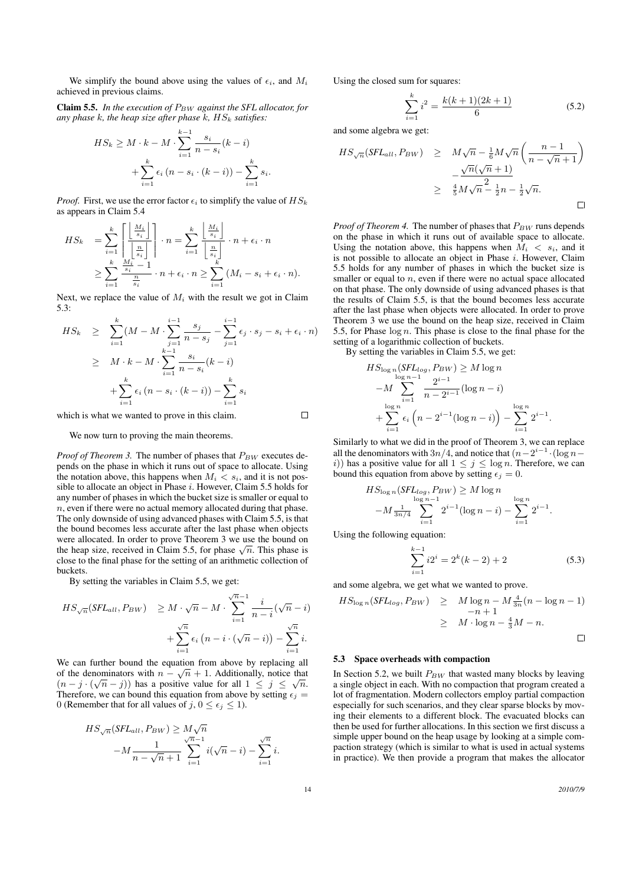We simplify the bound above using the values of  $\epsilon_i$ , and  $M_i$ achieved in previous claims.

Claim 5.5. *In the execution of PBW against the SFL allocator, for any phase k, the heap size after phase k, HS<sup>k</sup> satisfies:*

$$
HS_k \ge M \cdot k - M \cdot \sum_{i=1}^{k-1} \frac{s_i}{n - s_i} (k - i) + \sum_{i=1}^{k} \epsilon_i (n - s_i \cdot (k - i)) - \sum_{i=1}^{k} s_i.
$$

*Proof.* First, we use the error factor  $\epsilon_i$  to simplify the value of  $HS_k$ as appears in Claim 5.4

$$
HS_k = \sum_{i=1}^k \left[ \frac{\left\lfloor \frac{M_i}{s_i} \right\rfloor}{\left\lfloor \frac{n}{s_i} \right\rfloor} \right] \cdot n = \sum_{i=1}^k \frac{\left\lfloor \frac{M_i}{s_i} \right\rfloor}{\left\lfloor \frac{n}{s_i} \right\rfloor} \cdot n + \epsilon_i \cdot n
$$
  

$$
\geq \sum_{i=1}^k \frac{\frac{M_i}{s_i} - 1}{\frac{n}{s_i}} \cdot n + \epsilon_i \cdot n \geq \sum_{i=1}^k (M_i - s_i + \epsilon_i \cdot n).
$$

Next, we replace the value of  $M_i$  with the result we got in Claim 5.3:

$$
HS_k \geq \sum_{i=1}^k (M - M \cdot \sum_{j=1}^{i-1} \frac{s_j}{n - s_j} - \sum_{j=1}^{i-1} \epsilon_j \cdot s_j - s_i + \epsilon_i \cdot n)
$$
  
 
$$
\geq M \cdot k - M \cdot \sum_{i=1}^{k-1} \frac{s_i}{n - s_i} (k - i)
$$
  
 
$$
+ \sum_{i=1}^k \epsilon_i (n - s_i \cdot (k - i)) - \sum_{i=1}^k s_i
$$

which is what we wanted to prove in this claim.

We now turn to proving the main theorems.

*Proof of Theorem 3.* The number of phases that  $P_{BW}$  executes depends on the phase in which it runs out of space to allocate. Using the notation above, this happens when  $M_i < s_i$ , and it is not possible to allocate an object in Phase *i*. However, Claim 5.5 holds for any number of phases in which the bucket size is smaller or equal to *n*, even if there were no actual memory allocated during that phase. The only downside of using advanced phases with Claim 5.5, is that the bound becomes less accurate after the last phase when objects were allocated. In order to prove Theorem 3 we use the bound on the heap size, received in Claim 5.5, for phase  $\sqrt{n}$ . This phase is close to the final phase for the setting of an arithmetic collection of buckets.

By setting the variables in Claim 5.5, we get:

$$
HS_{\sqrt{n}}(SFL_{all}, P_{BW}) \geq M \cdot \sqrt{n} - M \cdot \sum_{i=1}^{\sqrt{n}-1} \frac{i}{n-i} (\sqrt{n} - i)
$$

$$
+ \sum_{i=1}^{\sqrt{n}} \epsilon_i (n-i \cdot (\sqrt{n} - i)) - \sum_{i=1}^{\sqrt{n}} i.
$$

We can further bound the equation from above by replacing all *√* of the denominators with  $n - \sqrt{n} + 1$ . Additionally, notice that  $(n - j \cdot (\sqrt{n} - j))$  has a positive value for all  $1 \leq j \leq \sqrt{n}$ . Therefore, we can bound this equation from above by setting  $\epsilon_j$ 0 (Remember that for all values of *j*,  $0 \le \epsilon_j \le 1$ ).

$$
HS_{\sqrt{n}}(SFL_{all}, P_{BW}) \ge M_{\sqrt{n}} \over -M \frac{1}{n - \sqrt{n} + 1} \sum_{i=1}^{\sqrt{n} - 1} i(\sqrt{n} - i) - \sum_{i=1}^{\sqrt{n}} i.
$$

Using the closed sum for squares:

$$
\sum_{i=1}^{k} i^2 = \frac{k(k+1)(2k+1)}{6}
$$
 (5.2)

and some algebra we get:

$$
HS_{\sqrt{n}}(SFL_{all}, P_{BW}) \geq M\sqrt{n} - \frac{1}{6}M\sqrt{n}\left(\frac{n-1}{n-\sqrt{n}+1}\right)
$$
  

$$
\geq \frac{\sqrt{n}(\sqrt{n}+1)}{\frac{4}{5}M\sqrt{n} - \frac{1}{2}n - \frac{1}{2}\sqrt{n}}.
$$

*Proof of Theorem 4.* The number of phases that  $P_{BW}$  runs depends on the phase in which it runs out of available space to allocate. Using the notation above, this happens when  $\tilde{M}_i < s_i$ , and it is not possible to allocate an object in Phase *i*. However, Claim 5.5 holds for any number of phases in which the bucket size is smaller or equal to *n*, even if there were no actual space allocated on that phase. The only downside of using advanced phases is that the results of Claim 5.5, is that the bound becomes less accurate after the last phase when objects were allocated. In order to prove Theorem 3 we use the bound on the heap size, received in Claim 5.5, for Phase log *n*. This phase is close to the final phase for the setting of a logarithmic collection of buckets.

By setting the variables in Claim 5.5, we get:

$$
HS_{\log n}(SFL_{\log}, P_{BW}) \geq M \log n
$$
  
-M  $\sum_{i=1}^{\log n-1} \frac{2^{i-1}}{n-2^{i-1}} (\log n - i)$   
+  $\sum_{i=1}^{\log n} \epsilon_i \left(n - 2^{i-1} (\log n - i)\right) - \sum_{i=1}^{\log n} 2^{i-1}.$ 

Similarly to what we did in the proof of Theorem 3, we can replace all the denominators with  $3n/4$ , and notice that  $(n-2^{i-1} \cdot (\log n$ *i*)) has a positive value for all  $1 \leq j \leq \log n$ . Therefore, we can bound this equation from above by setting  $\epsilon_j = 0$ .

$$
HS_{\log n}(SFL_{\log}, P_{BW}) \geq M \log n
$$
  

$$
-M \frac{1}{3n/4} \sum_{i=1}^{\log n - 1} 2^{i-1} (\log n - i) - \sum_{i=1}^{\log n} 2^{i-1}.
$$

Using the following equation:

$$
\sum_{i=1}^{k-1} i2^i = 2^k(k-2) + 2
$$
\n(5.3)

and some algebra, we get what we wanted to prove.

$$
HS_{\log n}(SFL_{\log}, P_{BW}) \geq M \log n - M \frac{4}{3n} (n - \log n - 1)
$$
  
\n
$$
\geq M \cdot \log n - \frac{4}{3} M - n.
$$

## 5.3 Space overheads with compaction

In Section 5.2, we built  $P_{BW}$  that wasted many blocks by leaving a single object in each. With no compaction that program created a lot of fragmentation. Modern collectors employ partial compaction especially for such scenarios, and they clear sparse blocks by moving their elements to a different block. The evacuated blocks can then be used for further allocations. In this section we first discuss a simple upper bound on the heap usage by looking at a simple compaction strategy (which is similar to what is used in actual systems in practice). We then provide a program that makes the allocator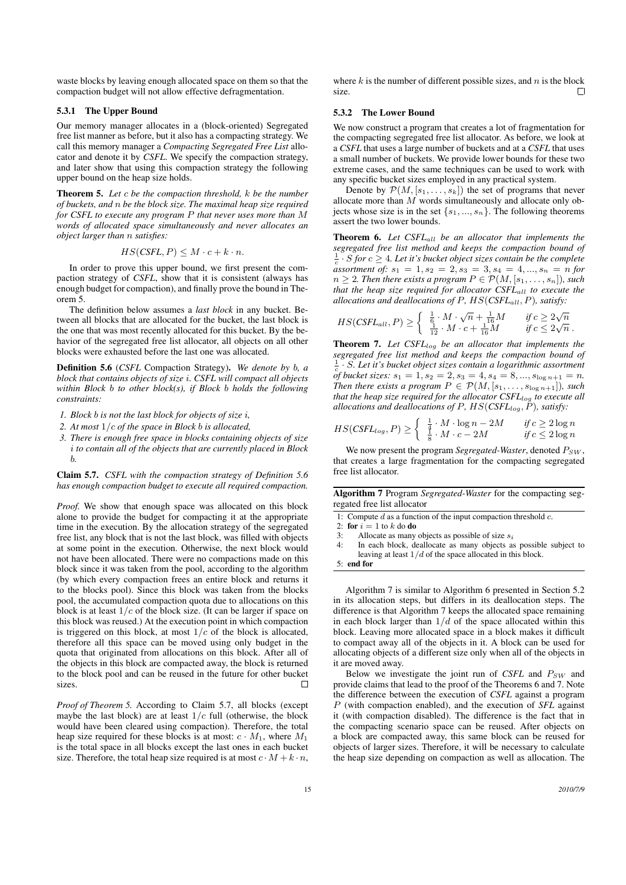waste blocks by leaving enough allocated space on them so that the compaction budget will not allow effective defragmentation.

## 5.3.1 The Upper Bound

Our memory manager allocates in a (block-oriented) Segregated free list manner as before, but it also has a compacting strategy. We call this memory manager a *Compacting Segregated Free List* allocator and denote it by *CSFL*. We specify the compaction strategy, and later show that using this compaction strategy the following upper bound on the heap size holds.

Theorem 5. *Let c be the compaction threshold, k be the number of buckets, and n be the block size. The maximal heap size required for CSFL to execute any program P that never uses more than M words of allocated space simultaneously and never allocates an object larger than n satisfies:*

$$
HS(CSFL, P) \leq M \cdot c + k \cdot n.
$$

In order to prove this upper bound, we first present the compaction strategy of *CSFL*, show that it is consistent (always has enough budget for compaction), and finally prove the bound in Theorem 5.

The definition below assumes a *last block* in any bucket. Between all blocks that are allocated for the bucket, the last block is the one that was most recently allocated for this bucket. By the behavior of the segregated free list allocator, all objects on all other blocks were exhausted before the last one was allocated.

Definition 5.6 (*CSFL* Compaction Strategy). *We denote by b, a block that contains objects of size i. CSFL will compact all objects within Block b to other block(s), if Block b holds the following constraints:*

- *1. Block b is not the last block for objects of size i,*
- *2. At most* 1*/c of the space in Block b is allocated,*

*3. There is enough free space in blocks containing objects of size i to contain all of the objects that are currently placed in Block b.*

# Claim 5.7. *CSFL with the compaction strategy of Definition 5.6 has enough compaction budget to execute all required compaction.*

*Proof.* We show that enough space was allocated on this block alone to provide the budget for compacting it at the appropriate time in the execution. By the allocation strategy of the segregated free list, any block that is not the last block, was filled with objects at some point in the execution. Otherwise, the next block would not have been allocated. There were no compactions made on this block since it was taken from the pool, according to the algorithm (by which every compaction frees an entire block and returns it to the blocks pool). Since this block was taken from the blocks pool, the accumulated compaction quota due to allocations on this block is at least 1*/c* of the block size. (It can be larger if space on this block was reused.) At the execution point in which compaction is triggered on this block, at most 1*/c* of the block is allocated, therefore all this space can be moved using only budget in the quota that originated from allocations on this block. After all of the objects in this block are compacted away, the block is returned to the block pool and can be reused in the future for other bucket sizes.  $\Box$ 

*Proof of Theorem 5.* According to Claim 5.7, all blocks (except maybe the last block) are at least  $1/c$  full (otherwise, the block would have been cleared using compaction). Therefore, the total heap size required for these blocks is at most:  $c \cdot M_1$ , where  $M_1$ is the total space in all blocks except the last ones in each bucket size. Therefore, the total heap size required is at most  $c \cdot M + k \cdot n$ ,

where *k* is the number of different possible sizes, and *n* is the block  $\Box$ size.

# 5.3.2 The Lower Bound

We now construct a program that creates a lot of fragmentation for the compacting segregated free list allocator. As before, we look at a *CSFL* that uses a large number of buckets and at a *CSFL* that uses a small number of buckets. We provide lower bounds for these two extreme cases, and the same techniques can be used to work with any specific bucket sizes employed in any practical system.

Denote by  $\mathcal{P}(M, [s_1, \ldots, s_k])$  the set of programs that never allocate more than *M* words simultaneously and allocate only objects whose size is in the set *{s*1*, ..., sn}*. The following theorems assert the two lower bounds.

Theorem 6. *Let CSFLall be an allocator that implements the segregated free list method and keeps the compaction bound of*  $\frac{1}{c} \cdot S$  *for*  $c \geq 4$ *. Let it's bucket object sizes contain be the complete assortment of:*  $s_1 = 1, s_2 = 2, s_3 = 3, s_4 = 4, ..., s_n = n$  for  $n \geq 2$ *. Then there exists a program*  $P \in \mathcal{P}(M, [s_1, \ldots, s_n])$ *, such that the heap size required for allocator CSFLall to execute the allocations and deallocations of P, HS*(*CSFLall, P*)*, satisfy:*

$$
HS(CSFL_{all}, P) \ge \begin{cases} \frac{1}{6} \cdot M \cdot \sqrt{n} + \frac{1}{16}M & \text{if } c \ge 2\sqrt{n} \\ \frac{1}{12} \cdot M \cdot c + \frac{1}{16}M & \text{if } c \le 2\sqrt{n} \end{cases}
$$

Theorem 7. *Let CSFLlog be an allocator that implements the segregated free list method and keeps the compaction bound of* 1 *· S. Let it's bucket object sizes contain a logarithmic assortment c of bucket sizes:*  $s_1 = 1, s_2 = 2, s_3 = 4, s_4 = 8, ..., s_{\log n+1} = n$ . *Then there exists a program*  $P \in \mathcal{P}(M,[s_1,\ldots,s_{\log n+1}])$ *, such that the heap size required for the allocator CSFLlog to execute all allocations and deallocations of P, HS*(*CSFLlog, P*)*, satisfy:*

$$
HS(CSET_{log}, P) \ge \begin{cases} \frac{1}{4} \cdot M \cdot \log n - 2M & \text{if } c \ge 2 \log n \\ \frac{1}{8} \cdot M \cdot c - 2M & \text{if } c \le 2 \log n \end{cases}
$$

We now present the program *Segregated-Waster*, denoted *PSW* , that creates a large fragmentation for the compacting segregated free list allocator.

Algorithm 7 Program *Segregated-Waster* for the compacting segregated free list allocator

- 1: Compute *d* as a function of the input compaction threshold *c*.
- 2: for  $i = 1$  to  $k$  do do
- 
- 3: Allocate as many objects as possible of size  $s_i$ <br>4: In each block, deallocate as many objects as In each block, deallocate as many objects as possible subject to leaving at least 1*/d* of the space allocated in this block.

5: end for

Algorithm 7 is similar to Algorithm 6 presented in Section 5.2 in its allocation steps, but differs in its deallocation steps. The difference is that Algorithm 7 keeps the allocated space remaining in each block larger than 1*/d* of the space allocated within this block. Leaving more allocated space in a block makes it difficult to compact away all of the objects in it. A block can be used for allocating objects of a different size only when all of the objects in it are moved away.

Below we investigate the joint run of *CSFL* and *PSW* and provide claims that lead to the proof of the Theorems 6 and 7. Note the difference between the execution of *CSFL* against a program *P* (with compaction enabled), and the execution of *SFL* against it (with compaction disabled). The difference is the fact that in the compacting scenario space can be reused. After objects on a block are compacted away, this same block can be reused for objects of larger sizes. Therefore, it will be necessary to calculate the heap size depending on compaction as well as allocation. The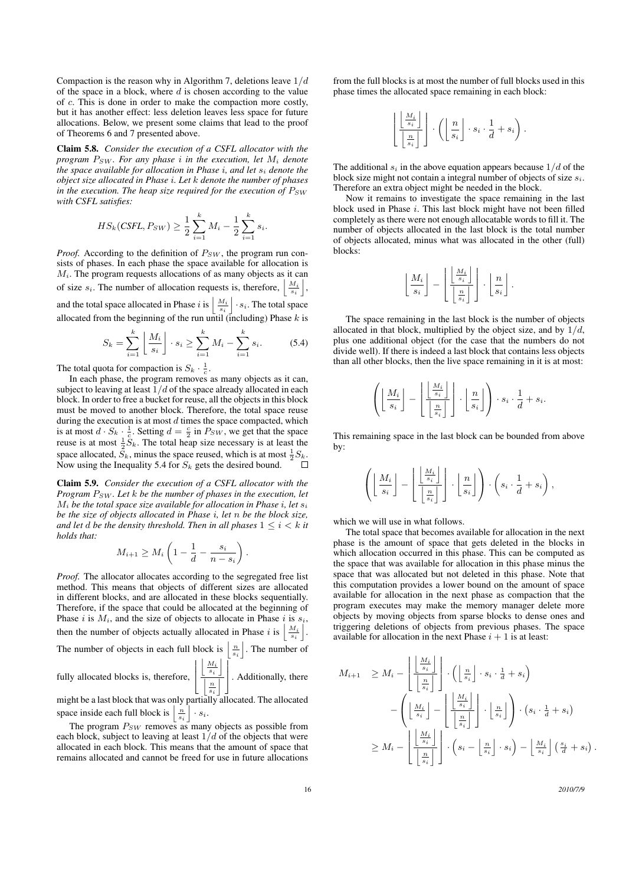Compaction is the reason why in Algorithm 7, deletions leave 1*/d* of the space in a block, where *d* is chosen according to the value of *c*. This is done in order to make the compaction more costly, but it has another effect: less deletion leaves less space for future allocations. Below, we present some claims that lead to the proof of Theorems 6 and 7 presented above.

Claim 5.8. *Consider the execution of a CSFL allocator with the program PSW . For any phase i in the execution, let M<sup>i</sup> denote the space available for allocation in Phase i, and let s<sup>i</sup> denote the object size allocated in Phase i. Let k denote the number of phases in the execution. The heap size required for the execution of*  $P_{SW}$ *with CSFL satisfies:*

$$
HS_k(CSFL, P_{SW}) \geq \frac{1}{2} \sum_{i=1}^{k} M_i - \frac{1}{2} \sum_{i=1}^{k} s_i.
$$

*Proof.* According to the definition of  $P_{SW}$ , the program run consists of phases. In each phase the space available for allocation is *Mi*. The program requests allocations of as many objects as it can of size  $s_i$ . The number of allocation requests is, therefore,  $\left| \frac{M_i}{s_i} \right|$ , and the total space allocated in Phase *i* is  $\left| \frac{M_i}{s_i} \right| \cdot s_i$ . The total space allocated from the beginning of the run until (including) Phase *k* is

$$
S_k = \sum_{i=1}^k \left\lfloor \frac{M_i}{s_i} \right\rfloor \cdot s_i \ge \sum_{i=1}^k M_i - \sum_{i=1}^k s_i. \tag{5.4}
$$

The total quota for compaction is  $S_k \cdot \frac{1}{c}$ .

In each phase, the program removes as many objects as it can, subject to leaving at least 1*/d* of the space already allocated in each block. In order to free a bucket for reuse, all the objects in this block must be moved to another block. Therefore, the total space reuse during the execution is at most *d* times the space compacted, which is at most  $d \cdot S_k \cdot \frac{1}{c}$ . Setting  $d = \frac{c}{2}$  in  $P_{SW}$ , we get that the space reuse is at most  $\frac{1}{2}\tilde{S}_k$ . The total heap size necessary is at least the space allocated,  $\bar{S}_k$ , minus the space reused, which is at most  $\frac{1}{2}S_k$ . Now using the Inequality 5.4 for *S<sup>k</sup>* gets the desired bound.  $\Box$ 

Claim 5.9. *Consider the execution of a CSFL allocator with the Program PSW . Let k be the number of phases in the execution, let*  $M_i$  *be the total space size available for allocation in Phase <i>i*, let  $s_i$ *be the size of objects allocated in Phase i, let n be the block size, and let d be the density threshold. Then in all phases*  $1 \leq i \leq k$  *it holds that:*

$$
M_{i+1} \ge M_i \left(1 - \frac{1}{d} - \frac{s_i}{n - s_i}\right).
$$

*Proof.* The allocator allocates according to the segregated free list method. This means that objects of different sizes are allocated in different blocks, and are allocated in these blocks sequentially. Therefore, if the space that could be allocated at the beginning of Phase *i* is *Mi*, and the size of objects to allocate in Phase *i* is *si*, then the number of objects actually allocated in Phase *i* is  $\left| \frac{M_i}{s_i} \right|$ . The number of objects in each full block is  $\left| \frac{n}{s_i} \right|$ . The number of fully allocated blocks is, therefore,  $\left| \frac{M_i}{s_i} \right|$  $\left| \frac{n}{s_i} \right|$ . Additionally, there

might be a last block that was only partially allocated. The allocated space inside each full block is  $\left\lfloor \frac{n}{s_i} \right\rfloor \cdot s_i$ .

The program *PSW* removes as many objects as possible from each block, subject to leaving at least 1*/d* of the objects that were allocated in each block. This means that the amount of space that remains allocated and cannot be freed for use in future allocations from the full blocks is at most the number of full blocks used in this phase times the allocated space remaining in each block:

$$
\left\lfloor \frac{\left\lfloor \frac{M_i}{s_i} \right\rfloor}{\left\lfloor \frac{n}{s_i} \right\rfloor} \right\rfloor \cdot \left( \left\lfloor \frac{n}{s_i} \right\rfloor \cdot s_i \cdot \frac{1}{d} + s_i \right).
$$

The additional  $s_i$  in the above equation appears because  $1/d$  of the block size might not contain a integral number of objects of size *si*. Therefore an extra object might be needed in the block.

Now it remains to investigate the space remaining in the last block used in Phase *i*. This last block might have not been filled completely as there were not enough allocatable words to fill it. The number of objects allocated in the last block is the total number of objects allocated, minus what was allocated in the other (full) blocks:

$$
\left\lfloor \frac{M_i}{s_i} \right\rfloor - \left\lfloor \frac{\left\lfloor \frac{M_i}{s_i} \right\rfloor}{\left\lfloor \frac{n}{s_i} \right\rfloor} \right\rfloor \cdot \left\lfloor \frac{n}{s_i} \right\rfloor.
$$

The space remaining in the last block is the number of objects allocated in that block, multiplied by the object size, and by 1*/d*, plus one additional object (for the case that the numbers do not divide well). If there is indeed a last block that contains less objects than all other blocks, then the live space remaining in it is at most:

$$
\left(\left\lfloor \frac{M_i}{s_i}\right\rfloor - \left\lfloor \frac{\left\lfloor \frac{M_i}{s_i}\right\rfloor}{\left\lfloor \frac{n}{s_i}\right\rfloor} \right\rfloor \cdot \left\lfloor \frac{n}{s_i}\right\rfloor \right) \cdot s_i \cdot \frac{1}{d} + s_i.
$$

This remaining space in the last block can be bounded from above by:

$$
\left(\left\lfloor \frac{M_i}{s_i}\right\rfloor - \left\lfloor \frac{\left\lfloor \frac{M_i}{s_i}\right\rfloor}{\left\lfloor \frac{n}{s_i}\right\rfloor} \right\rfloor \cdot \left\lfloor \frac{n}{s_i}\right\rfloor \right) \cdot \left(s_i \cdot \frac{1}{d} + s_i\right),\,
$$

which we will use in what follows.

The total space that becomes available for allocation in the next phase is the amount of space that gets deleted in the blocks in which allocation occurred in this phase. This can be computed as the space that was available for allocation in this phase minus the space that was allocated but not deleted in this phase. Note that this computation provides a lower bound on the amount of space available for allocation in the next phase as compaction that the program executes may make the memory manager delete more objects by moving objects from sparse blocks to dense ones and triggering deletions of objects from previous phases. The space available for allocation in the next Phase  $i + 1$  is at least:

$$
M_{i+1} \geq M_i - \left\lfloor \frac{\left\lfloor \frac{M_i}{s_i} \right\rfloor}{\left\lfloor \frac{n}{s_i} \right\rfloor} \right\rfloor \cdot \left( \left\lfloor \frac{n}{s_i} \right\rfloor \cdot s_i \cdot \frac{1}{d} + s_i \right) - \left( \left\lfloor \frac{M_i}{s_i} \right\rfloor - \left\lfloor \frac{\left\lfloor \frac{M_i}{s_i} \right\rfloor}{\left\lfloor \frac{n}{s_i} \right\rfloor} \right\rfloor \cdot \left\lfloor \frac{n}{s_i} \right\rfloor \right) \cdot \left( s_i \cdot \frac{1}{d} + s_i \right) - \sum M_i - \left\lfloor \frac{\left\lfloor \frac{M_i}{s_i} \right\rfloor}{\left\lfloor \frac{n}{s_i} \right\rfloor} \right\rfloor \cdot \left( s_i - \left\lfloor \frac{n}{s_i} \right\rfloor \cdot s_i \right) - \left\lfloor \frac{M_i}{s_i} \right\rfloor \left( \frac{s_i}{d} + s_i \right).
$$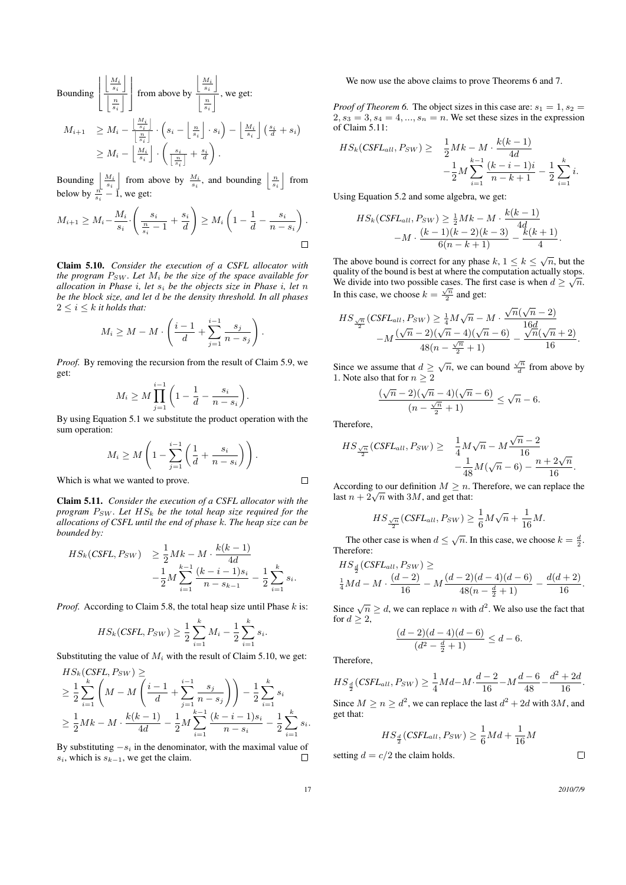Bounding  $\begin{array}{c} \begin{array}{c} \begin{array}{c} \end{array} \\ \begin{array}{c} \end{array} \end{array} \end{array}$  $\left| \frac{M_i}{s_i} \right|$  $\left| \frac{n}{s_i} \right|$  $\left| \right|$  from above by  $\left| \frac{M_i}{s_i} \right|$  $\frac{\lfloor \frac{n}{s_i} \rfloor}{\lfloor \frac{n}{s_i} \rfloor}$ , we get:

$$
M_{i+1} \geq M_i - \frac{\left\lfloor \frac{M_i}{s_i} \right\rfloor}{\left\lfloor \frac{n}{s_i} \right\rfloor} \cdot \left(s_i - \left\lfloor \frac{n}{s_i} \right\rfloor \cdot s_i\right) - \left\lfloor \frac{M_i}{s_i} \right\rfloor \left(\frac{s_i}{d} + s_i\right)
$$
  
 
$$
\geq M_i - \left\lfloor \frac{M_i}{s_i} \right\rfloor \cdot \left(\frac{s_i}{\left\lfloor \frac{n}{s_i} \right\rfloor} + \frac{s_i}{d}\right).
$$

Bounding  $\left|\frac{M_i}{s_i}\right|$  from above by  $\frac{M_i}{s_i}$ , and bounding  $\left|\frac{n}{s_i}\right|$  from below by  $\frac{n}{s_i} - 1$ , we get:

$$
M_{i+1} \ge M_i - \frac{M_i}{s_i} \cdot \left(\frac{s_i}{\frac{n}{s_i} - 1} + \frac{s_i}{d}\right) \ge M_i \left(1 - \frac{1}{d} - \frac{s_i}{n - s_i}\right).
$$

Claim 5.10. *Consider the execution of a CSFL allocator with the program PSW . Let M<sup>i</sup> be the size of the space available for allocation in Phase i*, let  $s_i$  *be the objects size in Phase i*, let *n be the block size, and let d be the density threshold. In all phases*  $2 \leq i \leq k$  *it holds that:* 

$$
M_i \geq M - M \cdot \left(\frac{i-1}{d} + \sum_{j=1}^{i-1} \frac{s_j}{n - s_j}\right).
$$

*Proof.* By removing the recursion from the result of Claim 5.9, we get:

$$
M_i \ge M \prod_{j=1}^{i-1} \left( 1 - \frac{1}{d} - \frac{s_i}{n - s_i} \right).
$$

By using Equation 5.1 we substitute the product operation with the sum operation:

$$
M_i \ge M\left(1 - \sum_{j=1}^{i-1} \left(\frac{1}{d} + \frac{s_i}{n - s_i}\right)\right).
$$

Which is what we wanted to prove.

Claim 5.11. *Consider the execution of a CSFL allocator with the program PSW . Let HS<sup>k</sup> be the total heap size required for the allocations of CSFL until the end of phase k. The heap size can be bounded by:*

$$
HS_k(CSET, P_{SW}) \geq \frac{1}{2} Mk - M \cdot \frac{k(k-1)}{4d}
$$
  

$$
-\frac{1}{2} M \sum_{i=1}^{k-1} \frac{(k-i-1)s_i}{n-s_{k-1}} - \frac{1}{2} \sum_{i=1}^{k} s_i.
$$

*Proof.* According to Claim 5.8, the total heap size until Phase *k* is:

$$
HS_k(CSET, P_{SW}) \ge \frac{1}{2} \sum_{i=1}^{k} M_i - \frac{1}{2} \sum_{i=1}^{k} s_i.
$$

Substituting the value of  $M_i$  with the result of Claim 5.10, we get:

$$
HS_k(CSET, P_{SW}) \ge
$$
  
\n
$$
\ge \frac{1}{2} \sum_{i=1}^k \left( M - M \left( \frac{i-1}{d} + \sum_{j=1}^{i-1} \frac{s_j}{n - s_j} \right) \right) - \frac{1}{2} \sum_{i=1}^k s_i
$$
  
\n
$$
\ge \frac{1}{2} Mk - M \cdot \frac{k(k-1)}{4d} - \frac{1}{2} M \sum_{i=1}^{k-1} \frac{(k-i-1)s_i}{n - s_i} - \frac{1}{2} \sum_{i=1}^k s_i.
$$

By substituting *−s<sup>i</sup>* in the denominator, with the maximal value of *si*, which is *s<sup>k</sup>−*<sup>1</sup>, we get the claim.  $\Box$ 

We now use the above claims to prove Theorems 6 and 7.

*Proof of Theorem 6.* The object sizes in this case are:  $s_1 = 1$ ,  $s_2 =$  $2, s_3 = 3, s_4 = 4, ..., s_n = n$ . We set these sizes in the expression of Claim 5.11:

$$
HS_k(CSFL_{all}, P_{SW}) \geq \frac{1}{2} Mk - M \cdot \frac{k(k-1)}{4d} - \frac{1}{2} M \sum_{i=1}^{k-1} \frac{(k-i-1)i}{n-k+1} - \frac{1}{2} \sum_{i=1}^{k} i.
$$

Using Equation 5.2 and some algebra, we get:

$$
HS_k(CSET_{all}, P_{SW}) \ge \frac{1}{2} Mk - M \cdot \frac{k(k-1)}{4d} - M \cdot \frac{(k-1)(k-2)(k-3)}{6(n-k+1)} - \frac{k(k+1)}{4}.
$$

The above bound is correct for any phase  $k, 1 \leq k \leq \sqrt{n}$ , but the quality of the bound is best at where the computation actually stops. However the bound is best at where the computation actually stops.<br>We divide into two possible cases. The first case is when  $d \ge \sqrt{n}$ . In this case, we choose  $k = \frac{\sqrt{n}}{2}$  and get:

$$
HS_{\frac{\sqrt{n}}{2}}(CSFL_{all}, P_{SW}) \ge \frac{1}{4}M\sqrt{n} - M \cdot \frac{\sqrt{n}(\sqrt{n} - 2)}{16d} - M \cdot \frac{(\sqrt{n} - 2)(\sqrt{n} - 4)(\sqrt{n} - 6)}{48(n - \frac{\sqrt{n}}{2} + 1)} - \frac{\sqrt{n}(\sqrt{n} + 2)}{16}.
$$

Since we assume that  $d \geq \sqrt{n}$ , we can bound  $\frac{\sqrt{n}}{d}$  from above by 1. Note also that for  $n \geq 2$ 

$$
\frac{(\sqrt{n}-2)(\sqrt{n}-4)(\sqrt{n}-6)}{(n-\frac{\sqrt{n}}{2}+1)} \leq \sqrt{n}-6.
$$

Therefore,

 $\Box$ 

$$
HS_{\frac{\sqrt{n}}{2}}(CSFL_{all}, P_{SW}) \geq \frac{\frac{1}{4}M\sqrt{n} - M\frac{\sqrt{n} - 2}{16}}{-\frac{1}{48}M(\sqrt{n} - 6) - \frac{n + 2\sqrt{n}}{16}}.
$$

According to our definition  $M \geq n$ . Therefore, we can replace the According to our definition  $M \geq n$ .<br>last  $n + 2\sqrt{n}$  with 3*M*, and get that:

$$
HS_{\frac{\sqrt{n}}{2}}(CSFL_{all}, P_{SW}) \ge \frac{1}{6}M\sqrt{n} + \frac{1}{16}M.
$$

The other case is when  $d \leq \sqrt{n}$ . In this case, we choose  $k = \frac{d}{2}$ . Therefore:

$$
HS_{\frac{d}{2}}(CSET_{all}, P_{SW}) \ge
$$
  

$$
\frac{1}{4}Md - M \cdot \frac{(d-2)}{16} - M \frac{(d-2)(d-4)(d-6)}{48(n-\frac{d}{2}+1)} - \frac{d(d+2)}{16}.
$$

Since  $\sqrt{n} \ge d$ , we can replace *n* with  $d^2$ . We also use the fact that for  $d \geq 2$ ,

$$
\frac{(d-2)(d-4)(d-6)}{(d^2-\frac{d}{2}+1)} \leq d-6.
$$

Therefore,

$$
HS_{\frac{d}{2}}(CSFL_{all}, P_{SW}) \ge \frac{1}{4}Md - M \cdot \frac{d-2}{16} - M\frac{d-6}{48} - \frac{d^2+2d}{16}.
$$

Since  $M \ge n \ge d^2$ , we can replace the last  $d^2 + 2d$  with 3*M*, and get that:

$$
HS_{\frac{d}{2}}(CSFL_{all}, P_{SW}) \ge \frac{1}{6}Md + \frac{1}{16}M
$$

setting  $d = c/2$  the claim holds.

 $\Box$